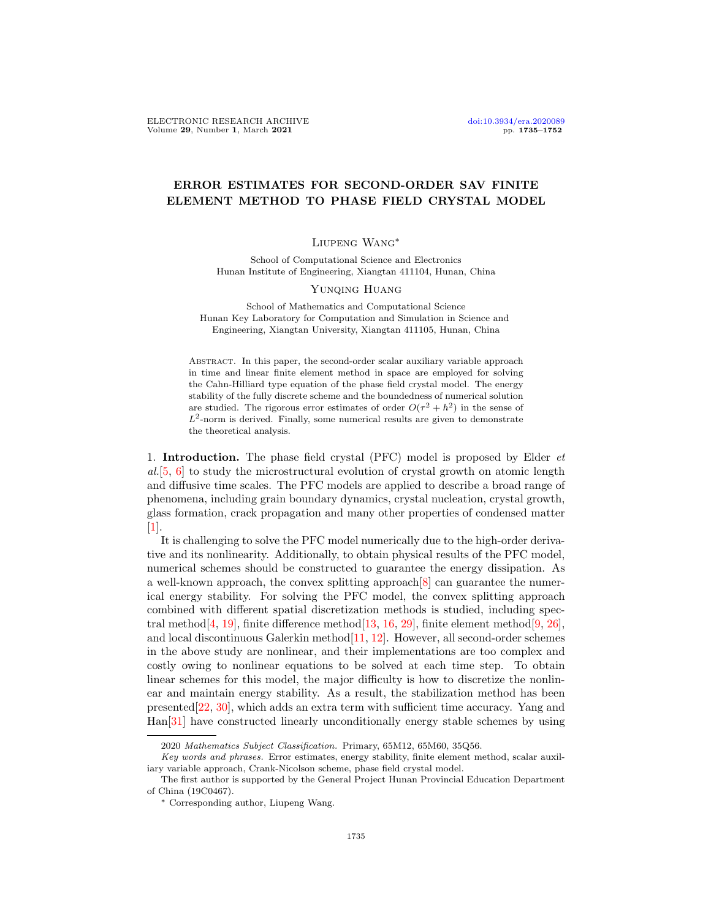# ERROR ESTIMATES FOR SECOND-ORDER SAV FINITE ELEMENT METHOD TO PHASE FIELD CRYSTAL MODEL

## Liupeng Wang∗

School of Computational Science and Electronics Hunan Institute of Engineering, Xiangtan 411104, Hunan, China

### Yunqing Huang

School of Mathematics and Computational Science Hunan Key Laboratory for Computation and Simulation in Science and Engineering, Xiangtan University, Xiangtan 411105, Hunan, China

Abstract. In this paper, the second-order scalar auxiliary variable approach in time and linear finite element method in space are employed for solving the Cahn-Hilliard type equation of the phase field crystal model. The energy stability of the fully discrete scheme and the boundedness of numerical solution are studied. The rigorous error estimates of order  $O(\tau^2 + h^2)$  in the sense of  $L^2$ -norm is derived. Finally, some numerical results are given to demonstrate the theoretical analysis.

1. Introduction. The phase field crystal (PFC) model is proposed by Elder et al.[\[5,](#page-16-0) [6\]](#page-16-1) to study the microstructural evolution of crystal growth on atomic length and diffusive time scales. The PFC models are applied to describe a broad range of phenomena, including grain boundary dynamics, crystal nucleation, crystal growth, glass formation, crack propagation and many other properties of condensed matter  $|1|$ .

It is challenging to solve the PFC model numerically due to the high-order derivative and its nonlinearity. Additionally, to obtain physical results of the PFC model, numerical schemes should be constructed to guarantee the energy dissipation. As a well-known approach, the convex splitting approach[\[8\]](#page-17-0) can guarantee the numerical energy stability. For solving the PFC model, the convex splitting approach combined with different spatial discretization methods is studied, including spectral method $[4, 19]$  $[4, 19]$  $[4, 19]$ , finite difference method $[13, 16, 29]$  $[13, 16, 29]$  $[13, 16, 29]$  $[13, 16, 29]$  $[13, 16, 29]$ , finite element method $[9, 26]$  $[9, 26]$  $[9, 26]$ , and local discontinuous Galerkin method $[11, 12]$  $[11, 12]$  $[11, 12]$ . However, all second-order schemes in the above study are nonlinear, and their implementations are too complex and costly owing to nonlinear equations to be solved at each time step. To obtain linear schemes for this model, the major difficulty is how to discretize the nonlinear and maintain energy stability. As a result, the stabilization method has been presented[\[22,](#page-17-9) [30\]](#page-17-10), which adds an extra term with sufficient time accuracy. Yang and Han[\[31\]](#page-17-11) have constructed linearly unconditionally energy stable schemes by using

<sup>2020</sup> Mathematics Subject Classification. Primary, 65M12, 65M60, 35Q56.

Key words and phrases. Error estimates, energy stability, finite element method, scalar auxiliary variable approach, Crank-Nicolson scheme, phase field crystal model.

The first author is supported by the General Project Hunan Provincial Education Department of China (19C0467).

<sup>∗</sup> Corresponding author, Liupeng Wang.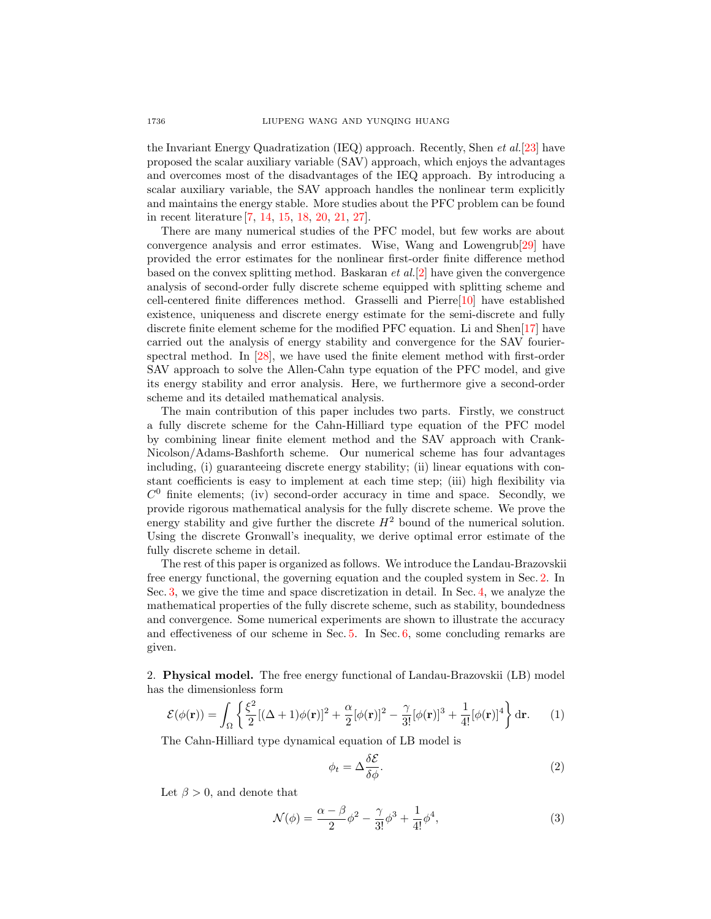the Invariant Energy Quadratization (IEQ) approach. Recently, Shen et al.[\[23\]](#page-17-12) have proposed the scalar auxiliary variable (SAV) approach, which enjoys the advantages and overcomes most of the disadvantages of the IEQ approach. By introducing a scalar auxiliary variable, the SAV approach handles the nonlinear term explicitly and maintains the energy stable. More studies about the PFC problem can be found in recent literature [\[7,](#page-17-13) [14,](#page-17-14) [15,](#page-17-15) [18,](#page-17-16) [20,](#page-17-17) [21,](#page-17-18) [27\]](#page-17-19).

There are many numerical studies of the PFC model, but few works are about convergence analysis and error estimates. Wise, Wang and Lowengrub[\[29\]](#page-17-4) have provided the error estimates for the nonlinear first-order finite difference method based on the convex splitting method. Baskaran  $et al.[2]$  $et al.[2]$  have given the convergence analysis of second-order fully discrete scheme equipped with splitting scheme and cell-centered finite differences method. Grasselli and Pierre[\[10\]](#page-17-20) have established existence, uniqueness and discrete energy estimate for the semi-discrete and fully discrete finite element scheme for the modified PFC equation. Li and Shen[\[17\]](#page-17-21) have carried out the analysis of energy stability and convergence for the SAV fourierspectral method. In [\[28\]](#page-17-22), we have used the finite element method with first-order SAV approach to solve the Allen-Cahn type equation of the PFC model, and give its energy stability and error analysis. Here, we furthermore give a second-order scheme and its detailed mathematical analysis.

The main contribution of this paper includes two parts. Firstly, we construct a fully discrete scheme for the Cahn-Hilliard type equation of the PFC model by combining linear finite element method and the SAV approach with Crank-Nicolson/Adams-Bashforth scheme. Our numerical scheme has four advantages including, (i) guaranteeing discrete energy stability; (ii) linear equations with constant coefficients is easy to implement at each time step; (iii) high flexibility via  $C<sup>0</sup>$  finite elements; (iv) second-order accuracy in time and space. Secondly, we provide rigorous mathematical analysis for the fully discrete scheme. We prove the energy stability and give further the discrete  $H^2$  bound of the numerical solution. Using the discrete Gronwall's inequality, we derive optimal error estimate of the fully discrete scheme in detail.

The rest of this paper is organized as follows. We introduce the Landau-Brazovskii free energy functional, the governing equation and the coupled system in Sec. [2.](#page-1-0) In Sec. [3,](#page-2-0) we give the time and space discretization in detail. In Sec. [4,](#page-4-0) we analyze the mathematical properties of the fully discrete scheme, such as stability, boundedness and convergence. Some numerical experiments are shown to illustrate the accuracy and effectiveness of our scheme in Sec.  $5$ . In Sec.  $6$ , some concluding remarks are given.

<span id="page-1-0"></span>2. Physical model. The free energy functional of Landau-Brazovskii (LB) model has the dimensionless form

$$
\mathcal{E}(\phi(\mathbf{r})) = \int_{\Omega} \left\{ \frac{\xi^2}{2} [(\Delta + 1)\phi(\mathbf{r})]^2 + \frac{\alpha}{2} [\phi(\mathbf{r})]^2 - \frac{\gamma}{3!} [\phi(\mathbf{r})]^3 + \frac{1}{4!} [\phi(\mathbf{r})]^4 \right\} d\mathbf{r}.
$$
 (1)

The Cahn-Hilliard type dynamical equation of LB model is

$$
\phi_t = \Delta \frac{\delta \mathcal{E}}{\delta \phi}.\tag{2}
$$

Let  $\beta > 0$ , and denote that

$$
\mathcal{N}(\phi) = \frac{\alpha - \beta}{2}\phi^2 - \frac{\gamma}{3!}\phi^3 + \frac{1}{4!}\phi^4,\tag{3}
$$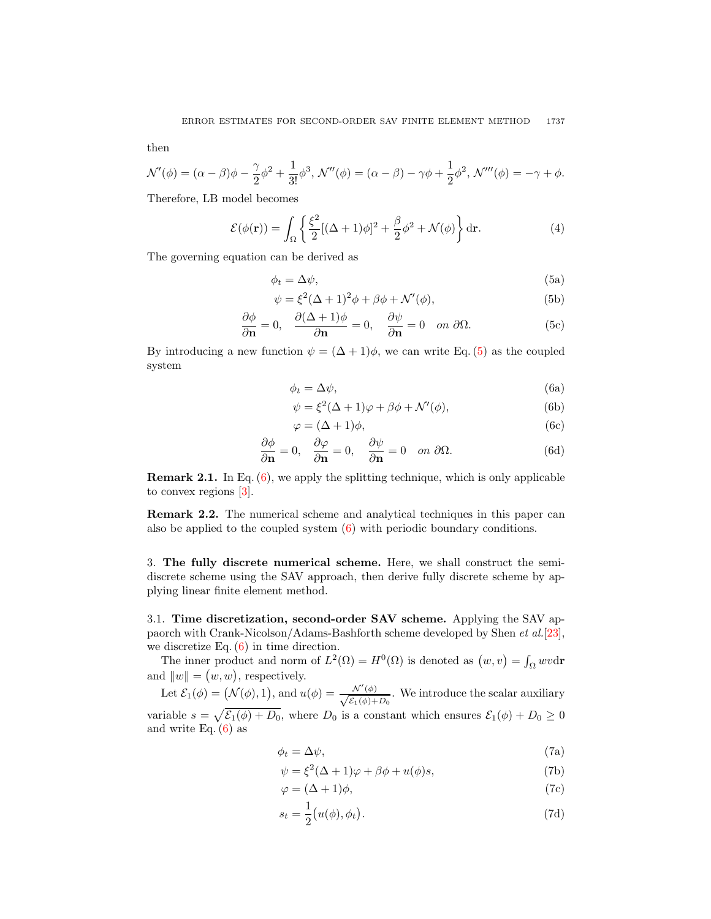then

$$
\mathcal{N}'(\phi) = (\alpha - \beta)\phi - \frac{\gamma}{2}\phi^2 + \frac{1}{3!}\phi^3, \mathcal{N}''(\phi) = (\alpha - \beta) - \gamma\phi + \frac{1}{2}\phi^2, \mathcal{N}'''(\phi) = -\gamma + \phi.
$$

Therefore, LB model becomes

$$
\mathcal{E}(\phi(\mathbf{r})) = \int_{\Omega} \left\{ \frac{\xi^2}{2} [(\Delta + 1)\phi]^2 + \frac{\beta}{2} \phi^2 + \mathcal{N}(\phi) \right\} d\mathbf{r}.
$$
 (4)

The governing equation can be derived as

<span id="page-2-1"></span>
$$
\phi_t = \Delta \psi,\tag{5a}
$$

$$
\psi = \xi^2 (\Delta + 1)^2 \phi + \beta \phi + \mathcal{N}'(\phi), \tag{5b}
$$

$$
\frac{\partial \phi}{\partial \mathbf{n}} = 0, \quad \frac{\partial (\Delta + 1)\phi}{\partial \mathbf{n}} = 0, \quad \frac{\partial \psi}{\partial \mathbf{n}} = 0 \quad on \ \partial \Omega. \tag{5c}
$$

<span id="page-2-2"></span>By introducing a new function  $\psi = (\Delta + 1)\phi$ , we can write Eq. [\(5\)](#page-2-1) as the coupled system

$$
\phi_t = \Delta \psi,\tag{6a}
$$

$$
\psi = \xi^2 (\Delta + 1)\varphi + \beta \phi + \mathcal{N}'(\phi), \tag{6b}
$$

$$
\varphi = (\Delta + 1)\phi,\tag{6c}
$$

$$
\frac{\partial \phi}{\partial \mathbf{n}} = 0, \quad \frac{\partial \varphi}{\partial \mathbf{n}} = 0, \quad \frac{\partial \psi}{\partial \mathbf{n}} = 0 \quad on \ \partial \Omega. \tag{6d}
$$

Remark 2.1. In Eq. [\(6\)](#page-2-2), we apply the splitting technique, which is only applicable to convex regions [\[3\]](#page-16-5).

Remark 2.2. The numerical scheme and analytical techniques in this paper can also be applied to the coupled system  $(6)$  with periodic boundary conditions.

<span id="page-2-0"></span>3. The fully discrete numerical scheme. Here, we shall construct the semidiscrete scheme using the SAV approach, then derive fully discrete scheme by applying linear finite element method.

3.1. Time discretization, second-order SAV scheme. Applying the SAV appaorch with Crank-Nicolson/Adams-Bashforth scheme developed by Shen et al.[\[23\]](#page-17-12), we discretize Eq.  $(6)$  in time direction.

The inner product and norm of  $L^2(\Omega) = H^0(\Omega)$  is denoted as  $(w, v) = \int_{\Omega} wv \, dr$ and  $||w|| = (w, w)$ , respectively.

Let  $\mathcal{E}_1(\phi) = (\mathcal{N}(\phi), 1),$  and  $u(\phi) = \frac{\mathcal{N}'(\phi)}{\sqrt{C(\phi)}$  $\frac{\mathcal{N}(\varphi)}{\mathcal{E}_1(\phi)+D_0}$ . We introduce the scalar auxiliary variable  $s = \sqrt{\mathcal{E}_1(\phi) + D_0}$ , where  $D_0$  is a constant which ensures  $\mathcal{E}_1(\phi) + D_0 \geq 0$ and write Eq.  $(6)$  as

$$
\phi_t = \Delta \psi,\tag{7a}
$$

$$
\psi = \xi^2 (\Delta + 1)\varphi + \beta \phi + u(\phi)s,
$$
\n(7b)

$$
\varphi = (\Delta + 1)\phi,\tag{7c}
$$

$$
s_t = \frac{1}{2} (u(\phi), \phi_t). \tag{7d}
$$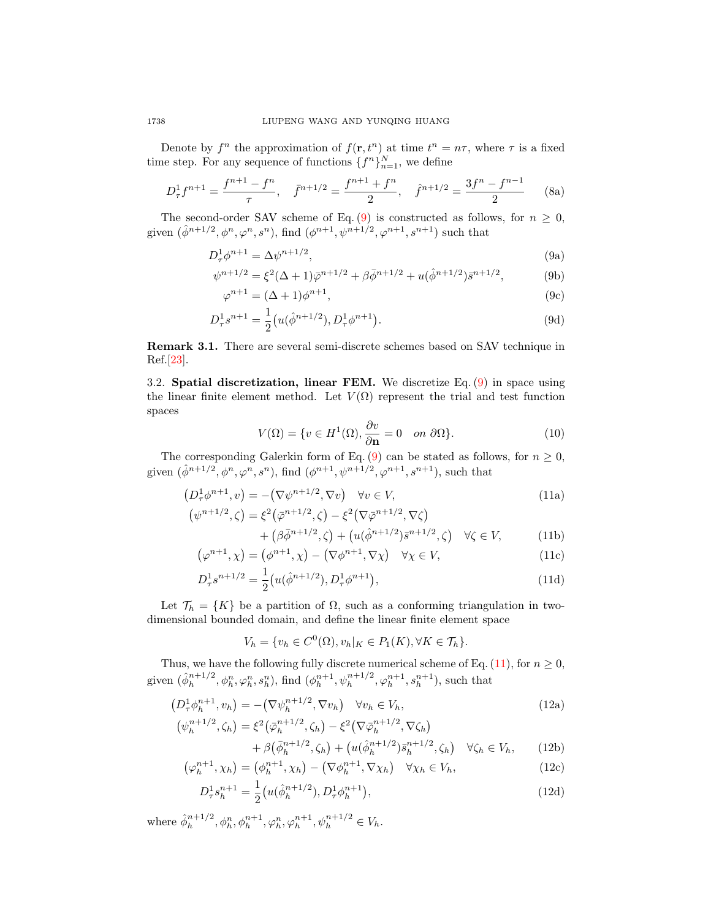Denote by  $f^n$  the approximation of  $f(\mathbf{r}, t^n)$  at time  $t^n = n\tau$ , where  $\tau$  is a fixed time step. For any sequence of functions  $\{f^n\}_{n=1}^N$ , we define

$$
D_{\tau}^{1} f^{n+1} = \frac{f^{n+1} - f^{n}}{\tau}, \quad \bar{f}^{n+1/2} = \frac{f^{n+1} + f^{n}}{2}, \quad \hat{f}^{n+1/2} = \frac{3f^{n} - f^{n-1}}{2} \tag{8a}
$$

The second-order SAV scheme of Eq. [\(9\)](#page-3-0) is constructed as follows, for  $n \geq 0$ , given  $(\hat{\phi}^{n+1/2}, \phi^n, \varphi^n, s^n)$ , find  $(\phi^{n+1}, \psi^{n+1/2}, \varphi^{n+1}, s^{n+1})$  such that

$$
D^1_\tau \phi^{n+1} = \Delta \psi^{n+1/2},\tag{9a}
$$

$$
\psi^{n+1/2} = \xi^2 (\Delta + 1) \bar{\varphi}^{n+1/2} + \beta \bar{\phi}^{n+1/2} + u(\hat{\phi}^{n+1/2}) \bar{s}^{n+1/2}, \tag{9b}
$$

<span id="page-3-0"></span>
$$
\varphi^{n+1} = (\Delta + 1)\varphi^{n+1},\tag{9c}
$$

$$
D_{\tau}^{1} s^{n+1} = \frac{1}{2} \left( u(\hat{\phi}^{n+1/2}), D_{\tau}^{1} \phi^{n+1} \right). \tag{9d}
$$

Remark 3.1. There are several semi-discrete schemes based on SAV technique in Ref.[\[23\]](#page-17-12).

3.2. Spatial discretization, linear FEM. We discretize Eq.  $(9)$  in space using the linear finite element method. Let  $V(\Omega)$  represent the trial and test function spaces

<span id="page-3-1"></span>
$$
V(\Omega) = \{ v \in H^1(\Omega), \frac{\partial v}{\partial \mathbf{n}} = 0 \quad on \ \partial \Omega \}. \tag{10}
$$

The corresponding Galerkin form of Eq. [\(9\)](#page-3-0) can be stated as follows, for  $n \geq 0$ , given  $(\hat{\phi}^{n+1/2}, \phi^n, \varphi^n, s^n)$ , find  $(\phi^{n+1}, \psi^{n+1/2}, \varphi^{n+1}, s^{n+1})$ , such that

$$
(D^1_\tau \phi^{n+1}, v) = -(\nabla \psi^{n+1/2}, \nabla v) \quad \forall v \in V,
$$
  
\n
$$
(\psi^{n+1/2}, \zeta) = \xi^2 (\bar{\varphi}^{n+1/2}, \zeta) - \xi^2 (\nabla \bar{\varphi}^{n+1/2}, \nabla \zeta)
$$
\n(11a)

$$
{}^{n+1/2}, \zeta = \xi^2(\bar{\varphi}^{n+1/2}, \zeta) - \xi^2(\nabla \bar{\varphi}^{n+1/2}, \nabla \zeta) + (\beta \bar{\phi}^{n+1/2}, \zeta) + (u(\hat{\phi}^{n+1/2})\bar{s}^{n+1/2}, \zeta) \quad \forall \zeta \in V,
$$
(11b)

$$
(\varphi^{n+1}, \chi) = (\varphi^{n+1}, \chi) - (\nabla \varphi^{n+1}, \nabla \chi) \quad \forall \chi \in V,
$$
\n(11c)

$$
D_{\tau}^{1} s^{n+1/2} = \frac{1}{2} \left( u(\hat{\phi}^{n+1/2}), D_{\tau}^{1} \phi^{n+1} \right), \tag{11d}
$$

Let  $\mathcal{T}_h = \{K\}$  be a partition of  $\Omega$ , such as a conforming triangulation in twodimensional bounded domain, and define the linear finite element space

<span id="page-3-6"></span><span id="page-3-5"></span><span id="page-3-4"></span><span id="page-3-3"></span><span id="page-3-2"></span>
$$
V_h = \{v_h \in C^0(\Omega), v_h|_K \in P_1(K), \forall K \in \mathcal{T}_h\}.
$$

Thus, we have the following fully discrete numerical scheme of Eq.  $(11)$ , for  $n \geq 0$ , given  $(\hat{\phi}_h^{n+1/2})$  $\phi_h^{n+1/2}, \phi_h^n, \varphi_h^n, s_h^n$ ), find  $(\phi_h^{n+1}, \psi_h^{n+1/2}, \varphi_h^{n+1}, s_h^{n+1})$ , such that

$$
(D_{\tau}^{1} \phi_{h}^{n+1}, v_{h}) = -(\nabla \psi_{h}^{n+1/2}, \nabla v_{h}) \quad \forall v_{h} \in V_{h},
$$
  
\n
$$
(\psi_{h}^{n+1/2}, \zeta_{h}) = \xi^{2} (\bar{\varphi}_{h}^{n+1/2}, \zeta_{h}) - \xi^{2} (\nabla \bar{\varphi}_{h}^{n+1/2}, \nabla \zeta_{h})
$$
\n(12a)

$$
h^{n+1/2}, \zeta_h) = \xi^2(\bar{\varphi}_h^{n+1/2}, \zeta_h) - \xi^2(\nabla \bar{\varphi}_h^{n+1/2}, \nabla \zeta_h) + \beta(\bar{\phi}_h^{n+1/2}, \zeta_h) + (u(\hat{\phi}_h^{n+1/2})\bar{s}_h^{n+1/2}, \zeta_h) \quad \forall \zeta_h \in V_h, \qquad (12b)
$$

$$
(\varphi_h^{n+1}, \chi_h) = (\varphi_h^{n+1}, \chi_h) - (\nabla \varphi_h^{n+1}, \nabla \chi_h) \quad \forall \chi_h \in V_h, \tag{12c}
$$

$$
D_{\tau}^{1} s_{h}^{n+1} = \frac{1}{2} \left( u(\hat{\phi}_{h}^{n+1/2}), D_{\tau}^{1} \phi_{h}^{n+1} \right), \tag{12d}
$$

where  $\hat{\phi}_h^{n+1/2}$  $h_h^{n+1/2}, \phi_h^n, \phi_h^{n+1}, \varphi_h^n, \varphi_h^{n+1}, \psi_h^{n+1/2} \in V_h.$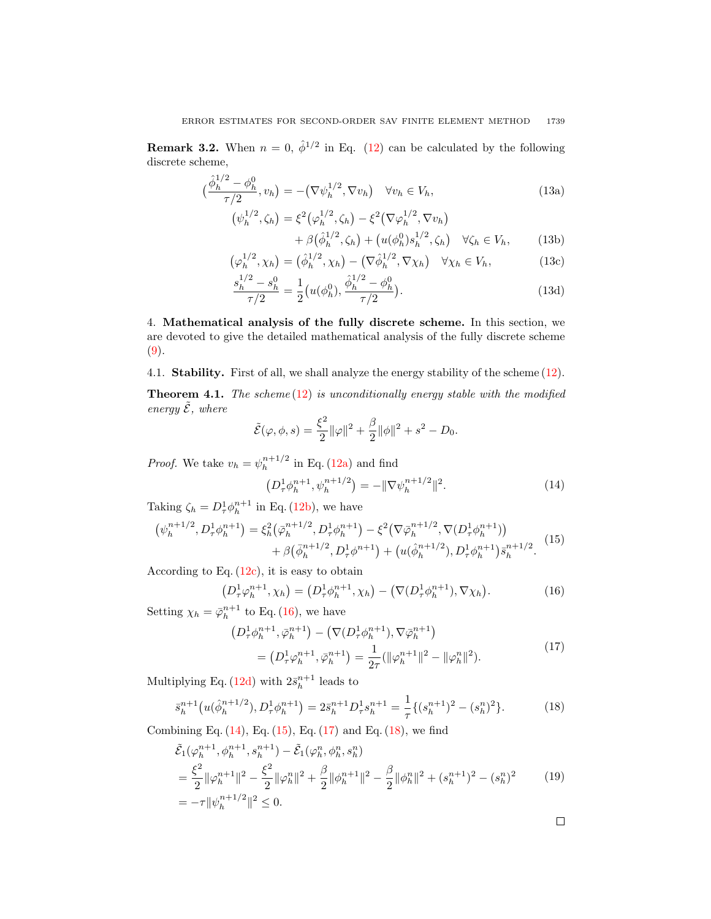**Remark 3.2.** When  $n = 0$ ,  $\hat{\phi}^{1/2}$  in Eq. [\(12\)](#page-3-2) can be calculated by the following discrete scheme,

<span id="page-4-7"></span>
$$
\left(\frac{\hat{\phi}_h^{1/2} - \phi_h^0}{\tau/2}, v_h\right) = -\left(\nabla \psi_h^{1/2}, \nabla v_h\right) \quad \forall v_h \in V_h,
$$
\n(13a)

$$
\begin{aligned} \left(\psi_h^{1/2}, \zeta_h\right) &= \xi^2 \left(\varphi_h^{1/2}, \zeta_h\right) - \xi^2 \left(\nabla \varphi_h^{1/2}, \nabla v_h\right) \\ &+ \beta \left(\hat{\phi}_h^{1/2}, \zeta_h\right) + \left(u(\phi_h^0) s_h^{1/2}, \zeta_h\right) \quad \forall \zeta_h \in V_h, \end{aligned} \tag{13b}
$$

$$
\left(\varphi_h^{1/2}, \chi_h\right) = \left(\hat{\phi}_h^{1/2}, \chi_h\right) - \left(\nabla \hat{\phi}_h^{1/2}, \nabla \chi_h\right) \quad \forall \chi_h \in V_h,\tag{13c}
$$

$$
\frac{s_h^{1/2} - s_h^0}{\tau/2} = \frac{1}{2} \left( u(\phi_h^0), \frac{\hat{\phi}_h^{1/2} - \phi_h^0}{\tau/2} \right).
$$
\n(13d)

<span id="page-4-0"></span>4. Mathematical analysis of the fully discrete scheme. In this section, we are devoted to give the detailed mathematical analysis of the fully discrete scheme [\(9\)](#page-3-0).

4.1. Stability. First of all, we shall analyze the energy stability of the scheme [\(12\)](#page-3-2).

<span id="page-4-6"></span>**Theorem 4.1.** The scheme  $(12)$  is unconditionally energy stable with the modified energy  $\tilde{\mathcal{E}}$ , where

$$
\tilde{\mathcal{E}}(\varphi,\phi,s) = \frac{\xi^2}{2} ||\varphi||^2 + \frac{\beta}{2} ||\phi||^2 + s^2 - D_0.
$$

*Proof.* We take  $v_h = \psi_h^{n+1/2}$  $\binom{n+1}{h}$  in Eq. [\(12a\)](#page-3-3) and find

<span id="page-4-2"></span>
$$
\left(D_{\tau}^{1} \phi_{h}^{n+1}, \psi_{h}^{n+1/2}\right) = -\|\nabla \psi_{h}^{n+1/2}\|^{2}.
$$
 (14)

Taking  $\zeta_h = D^1_\tau \phi_h^{n+1}$  in Eq. [\(12b\)](#page-3-4), we have

<span id="page-4-3"></span>
$$
\left(\psi_h^{n+1/2}, D_\tau^1 \phi_h^{n+1}\right) = \xi_h^2 \left(\bar{\varphi}_h^{n+1/2}, D_\tau^1 \phi_h^{n+1}\right) - \xi^2 \left(\nabla \bar{\varphi}_h^{n+1/2}, \nabla (D_\tau^1 \phi_h^{n+1})\right) + \beta \left(\bar{\phi}_h^{n+1/2}, D_\tau^1 \phi^{n+1}\right) + \left(u(\hat{\phi}_h^{n+1/2}), D_\tau^1 \phi_h^{n+1}\right) \bar{s}_h^{n+1/2}.
$$
\n(15)

According to Eq.  $(12c)$ , it is easy to obtain

<span id="page-4-1"></span>
$$
(D_{\tau}^{1} \varphi_{h}^{n+1}, \chi_{h}) = (D_{\tau}^{1} \varphi_{h}^{n+1}, \chi_{h}) - (\nabla (D_{\tau}^{1} \varphi_{h}^{n+1}), \nabla \chi_{h}). \tag{16}
$$

Setting  $\chi_h = \bar{\varphi}_h^{n+1}$  to Eq. [\(16\)](#page-4-1), we have

<span id="page-4-4"></span>
$$
(D^1_\tau \phi_h^{n+1}, \bar{\varphi}_h^{n+1}) - (\nabla (D^1_\tau \phi_h^{n+1}), \nabla \bar{\varphi}_h^{n+1})
$$
  
= 
$$
(D^1_\tau \varphi_h^{n+1}, \bar{\varphi}_h^{n+1}) = \frac{1}{2\tau} (\|\varphi_h^{n+1}\|^2 - \|\varphi_h^{n}\|^2).
$$
 (17)

Multiplying Eq. [\(12d\)](#page-3-6) with  $2\bar{s}_h^{n+1}$  leads to

<span id="page-4-5"></span>
$$
\bar{s}_h^{n+1}\big(u(\hat{\phi}_h^{n+1/2}), D_\tau^1 \phi_h^{n+1}\big) = 2\bar{s}_h^{n+1} D_\tau^1 s_h^{n+1} = \frac{1}{\tau} \{ (s_h^{n+1})^2 - (s_h^n)^2 \}.
$$
 (18)

Combining Eq.  $(14)$ , Eq.  $(15)$ , Eq.  $(17)$  and Eq.  $(18)$ , we find

$$
\tilde{\mathcal{E}}_1(\varphi_h^{n+1}, \phi_h^{n+1}, s_h^{n+1}) - \tilde{\mathcal{E}}_1(\varphi_h^n, \phi_h^n, s_h^n)
$$
\n
$$
= \frac{\xi^2}{2} ||\varphi_h^{n+1}||^2 - \frac{\xi^2}{2} ||\varphi_h^n||^2 + \frac{\beta}{2} ||\phi_h^{n+1}||^2 - \frac{\beta}{2} ||\phi_h^n||^2 + (s_h^{n+1})^2 - (s_h^n)^2 \tag{19}
$$
\n
$$
= -\tau ||\psi_h^{n+1/2}||^2 \le 0.
$$

 $\Box$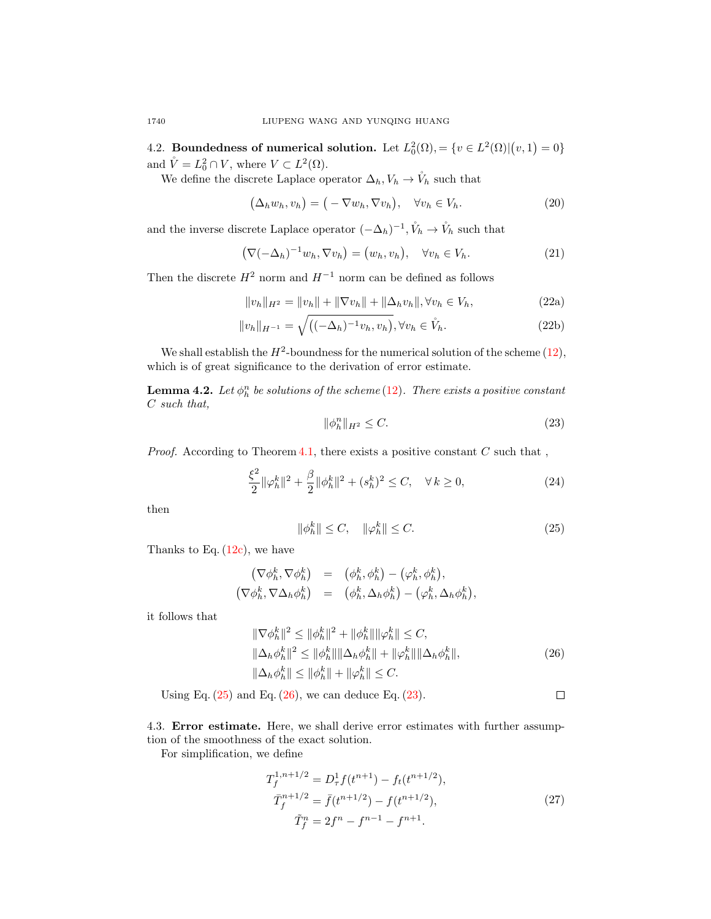4.2. Boundedness of numerical solution. Let  $L_0^2(\Omega) = \{v \in L^2(\Omega) | (v,1) = 0\}$ and  $\mathring{V} = L_0^2 \cap V$ , where  $V \subset L^2(\Omega)$ .

We define the discrete Laplace operator  $\Delta_h, V_h \to \mathring{V}_h$  such that

$$
(\Delta_h w_h, v_h) = (-\nabla w_h, \nabla v_h), \quad \forall v_h \in V_h.
$$
 (20)

and the inverse discrete Laplace operator  $(-\Delta_h)^{-1}$ ,  $\mathring{V}_h \to \mathring{V}_h$  such that

$$
(\nabla(-\Delta_h)^{-1}w_h, \nabla v_h) = (w_h, v_h), \quad \forall v_h \in V_h.
$$
\n(21)

Then the discrete  $H^2$  norm and  $H^{-1}$  norm can be defined as follows

$$
||v_h||_{H^2} = ||v_h|| + ||\nabla v_h|| + ||\Delta_h v_h||, \forall v_h \in V_h,
$$
\n(22a)

$$
||v_h||_{H^{-1}} = \sqrt{((-\Delta_h)^{-1}v_h, v_h)}, \forall v_h \in \mathring{V}_h.
$$
 (22b)

We shall establish the  $H^2$ -boundness for the numerical solution of the scheme [\(12\)](#page-3-2), which is of great significance to the derivation of error estimate.

<span id="page-5-3"></span>**Lemma 4.2.** Let  $\phi_h^n$  be solutions of the scheme [\(12\)](#page-3-2). There exists a positive constant C such that,

<span id="page-5-2"></span>
$$
\|\phi_h^n\|_{H^2} \le C. \tag{23}
$$

*Proof.* According to Theorem [4.1,](#page-4-6) there exists a positive constant  $C$  such that,

$$
\frac{\xi^2}{2} \|\varphi_h^k\|^2 + \frac{\beta}{2} \|\phi_h^k\|^2 + (s_h^k)^2 \le C, \quad \forall \, k \ge 0,\tag{24}
$$

then

<span id="page-5-0"></span>
$$
\|\phi_h^k\| \le C, \quad \|\varphi_h^k\| \le C. \tag{25}
$$

Thanks to Eq.  $(12c)$ , we have

$$
\begin{array}{rcl}\n(\nabla \phi_h^k, \nabla \phi_h^k) & = & \left(\phi_h^k, \phi_h^k\right) - \left(\varphi_h^k, \phi_h^k\right), \\
(\nabla \phi_h^k, \nabla \Delta_h \phi_h^k) & = & \left(\phi_h^k, \Delta_h \phi_h^k\right) - \left(\varphi_h^k, \Delta_h \phi_h^k\right),\n\end{array}
$$

it follows that

<span id="page-5-1"></span>
$$
\|\nabla \phi_h^k\|^2 \le \|\phi_h^k\|^2 + \|\phi_h^k\| \|\varphi_h^k\| \le C,
$$
  

$$
\|\Delta_h \phi_h^k\|^2 \le \|\phi_h^k\| \|\Delta_h \phi_h^k\| + \|\varphi_h^k\| \|\Delta_h \phi_h^k\|,
$$
  

$$
\|\Delta_h \phi_h^k\| \le \|\phi_h^k\| + \|\varphi_h^k\| \le C.
$$
 (26)

Using Eq.  $(25)$  and Eq.  $(26)$ , we can deduce Eq.  $(23)$ .  $\Box$ 

4.3. Error estimate. Here, we shall derive error estimates with further assumption of the smoothness of the exact solution.

For simplification, we define

$$
T_f^{1,n+1/2} = D_\tau^1 f(t^{n+1}) - f_t(t^{n+1/2}),
$$
  
\n
$$
\bar{T}_f^{n+1/2} = \bar{f}(t^{n+1/2}) - f(t^{n+1/2}),
$$
  
\n
$$
\tilde{T}_f^n = 2f^n - f^{n-1} - f^{n+1}.
$$
\n(27)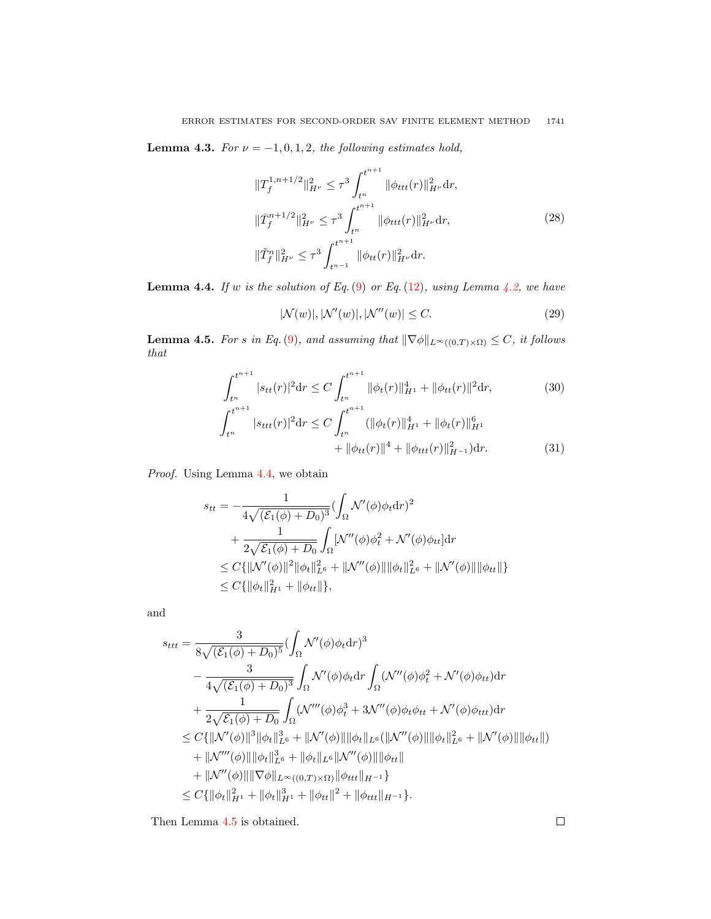<span id="page-6-2"></span>**Lemma 4.3.** For  $\nu = -1, 0, 1, 2$ , the following estimates hold,

$$
\|T_f^{1,n+1/2}\|_{H^{\nu}}^2 \le \tau^3 \int_{t^n}^{t^{n+1}} \|\phi_{ttt}(r)\|_{H^{\nu}}^2 dr,
$$
  

$$
\|T_f^{n+1/2}\|_{H^{\nu}}^2 \le \tau^3 \int_{t^n}^{t^{n+1}} \|\phi_{ttt}(r)\|_{H^{\nu}}^2 dr,
$$
  

$$
\|\tilde{T}_f^n\|_{H^{\nu}}^2 \le \tau^3 \int_{t^{n-1}}^{t^{n+1}} \|\phi_{tt}(r)\|_{H^{\nu}}^2 dr.
$$
 (28)

<span id="page-6-0"></span>**Lemma 4.4.** If w is the solution of Eq.  $(9)$  or Eq.  $(12)$ , using Lemma [4.2,](#page-5-3) we have

$$
|\mathcal{N}(w)|, |\mathcal{N}'(w)|, |\mathcal{N}''(w)| \le C. \tag{29}
$$

<span id="page-6-1"></span>**Lemma 4.5.** For s in Eq.[\(9\)](#page-3-0), and assuming that  $\|\nabla \phi\|_{L^{\infty}((0,T)\times\Omega)} \leq C$ , it follows that

$$
\int_{t^n}^{t^{n+1}} |s_{tt}(r)|^2 dr \le C \int_{t^n}^{t^{n+1}} \|\phi_t(r)\|_{H^1}^4 + \|\phi_{tt}(r)\|^2 dr,
$$
\n(30)\n
$$
\int_{t^n}^{t^{n+1}} |s_{ttt}(r)|^2 dr \le C \int_{t^n}^{t^{n+1}} (\|\phi_t(r)\|_{H^1}^4 + \|\phi_t(r)\|_{H^1}^6)
$$

$$
+ \|\phi_{tt}(r)\|^4 + \|\phi_{ttt}(r)\|_{H^{-1}}^2) dr.
$$
 (31)

Proof. Using Lemma [4.4,](#page-6-0) we obtain

$$
s_{tt} = -\frac{1}{4\sqrt{(\mathcal{E}_1(\phi) + D_0)^3}} (\int_{\Omega} \mathcal{N}'(\phi)\phi_t dr)^2 + \frac{1}{2\sqrt{\mathcal{E}_1(\phi) + D_0}} \int_{\Omega} [\mathcal{N}''(\phi)\phi_t^2 + \mathcal{N}'(\phi)\phi_{tt}] dr \leq C\{\|\mathcal{N}'(\phi)\|^2 \|\phi_t\|_{L^6}^2 + \|\mathcal{N}''(\phi)\| \|\phi_t\|_{L^6}^2 + \|\mathcal{N}'(\phi)\| \|\phi_{tt}\| \} \leq C\{\|\phi_t\|_{H^1}^2 + \|\phi_{tt}\| \},
$$

and

$$
s_{ttt} = \frac{3}{8\sqrt{(\mathcal{E}_1(\phi) + D_0)^5}} (\int_{\Omega} \mathcal{N}'(\phi)\phi_t dr)^3 - \frac{3}{4\sqrt{(\mathcal{E}_1(\phi) + D_0)^3}} \int_{\Omega} \mathcal{N}'(\phi)\phi_t dr \int_{\Omega} (\mathcal{N}''(\phi)\phi_t^2 + \mathcal{N}'(\phi)\phi_{tt}) dr + \frac{1}{2\sqrt{\mathcal{E}_1(\phi) + D_0}} \int_{\Omega} (\mathcal{N}'''(\phi)\phi_t^3 + 3\mathcal{N}'''(\phi)\phi_t \phi_{tt} + \mathcal{N}'(\phi)\phi_{ttt}) dr \leq C\{||\mathcal{N}'(\phi)||^3 ||\phi_t||_{L^6}^3 + ||\mathcal{N}'(\phi)|| ||\phi_t||_{L^6} (||\mathcal{N}''(\phi)|| ||\phi_t||_{L^6}^2 + ||\mathcal{N}'(\phi)|| ||\phi_{tt}||) + ||\mathcal{N}'''(\phi)|| ||\phi_t||_{L^8}^3 + ||\phi_t||_{L^6} ||\mathcal{N}'''(\phi)|| ||\phi_{tt}|| + ||\mathcal{N}'''(\phi)|| ||\nabla \phi||_{L^{\infty}((0,T)\times\Omega)} ||\phi_{ttt}||_{H^{-1}} \} C\{||\phi_t||_{H^1}^2 + ||\phi_t||_{H^1}^2 + ||\phi_{ttt}||_{H^{-1}}^2 \}.
$$

Then Lemma [4.5](#page-6-1) is obtained.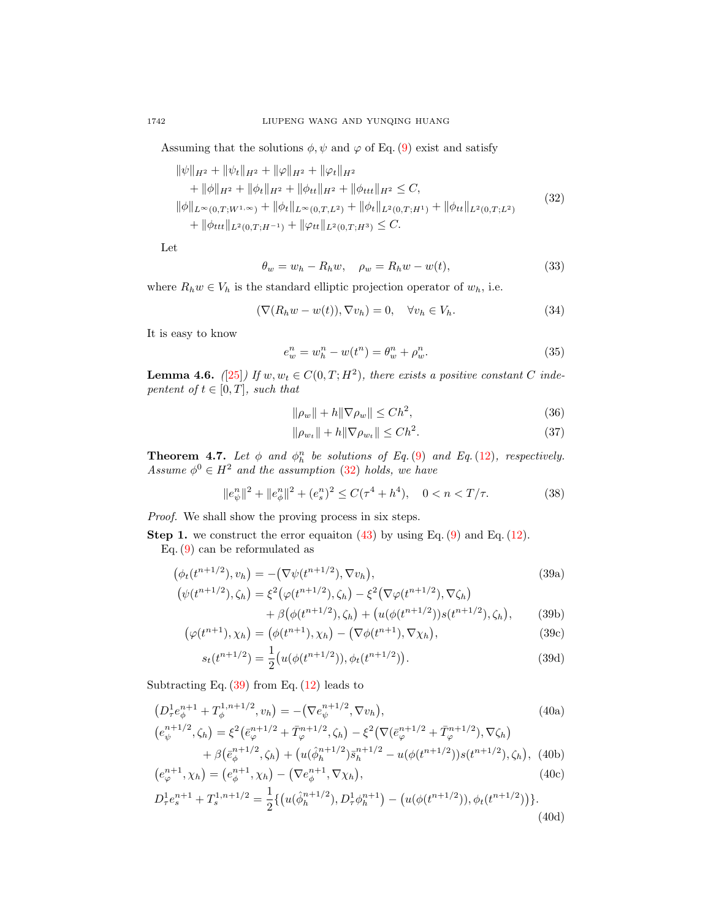Assuming that the solutions  $\phi, \psi$  and  $\varphi$  of Eq. [\(9\)](#page-3-0) exist and satisfy

<span id="page-7-0"></span>
$$
\|\psi\|_{H^2} + \|\psi_t\|_{H^2} + \|\varphi\|_{H^2} + \|\varphi_t\|_{H^2}
$$
  
+ 
$$
\|\phi\|_{H^2} + \|\phi_t\|_{H^2} + \|\phi_{tt}\|_{H^2} + \|\phi_{ttt}\|_{H^2} \le C,
$$
  

$$
\|\phi\|_{L^{\infty}(0,T;W^{1,\infty})} + \|\phi_t\|_{L^{\infty}(0,T;L^2)} + \|\phi_t\|_{L^2(0,T;H^1)} + \|\phi_{tt}\|_{L^2(0,T;L^2)}
$$
  
+ 
$$
\|\phi_{ttt}\|_{L^2(0,T;H^{-1})} + \|\varphi_{tt}\|_{L^2(0,T;H^3)} \le C.
$$
 (32)

Let

$$
\theta_w = w_h - R_h w, \quad \rho_w = R_h w - w(t), \tag{33}
$$

where  $R_h w \in V_h$  is the standard elliptic projection operator of  $w_h$ , i.e.

<span id="page-7-3"></span>
$$
(\nabla (R_h w - w(t)), \nabla v_h) = 0, \quad \forall v_h \in V_h.
$$
\n(34)

It is easy to know

<span id="page-7-4"></span>
$$
e_w^n = w_h^n - w(t^n) = \theta_w^n + \rho_w^n.
$$
\n
$$
(35)
$$

<span id="page-7-5"></span>**Lemma 4.6.** ([\[25\]](#page-17-23)) If  $w, w_t \in C(0,T; H^2)$ , there exists a positive constant C indepentent of  $t \in [0, T]$ , such that

$$
\|\rho_w\| + h\|\nabla \rho_w\| \le Ch^2,\tag{36}
$$

$$
\|\rho_{w_t}\| + h\|\nabla \rho_{w_t}\| \le Ch^2.
$$
\n(37)

**Theorem 4.7.** Let  $\phi$  and  $\phi_h^n$  be solutions of Eq. [\(9\)](#page-3-0) and Eq. [\(12\)](#page-3-2), respectively. Assume  $\phi^0 \in H^2$  and the assumption [\(32\)](#page-7-0) holds, we have

<span id="page-7-6"></span><span id="page-7-1"></span>
$$
||e^n_{\psi}||^2 + ||e^n_{\phi}||^2 + (e_s^n)^2 \le C(\tau^4 + h^4), \quad 0 < n < T/\tau. \tag{38}
$$

Proof. We shall show the proving process in six steps.

**Step 1.** we construct the error equaiton  $(43)$  by using Eq.  $(9)$  and Eq.  $(12)$ .

Eq. [\(9\)](#page-3-0) can be reformulated as

$$
\left(\phi_t(t^{n+1/2}), v_h\right) = -\left(\nabla\psi(t^{n+1/2}), \nabla v_h\right),\tag{39a}
$$

$$
\begin{aligned} \left(\psi(t^{n+1/2}),\zeta_h\right) &= \xi^2 \left(\varphi(t^{n+1/2}),\zeta_h\right) - \xi^2 \left(\nabla\varphi(t^{n+1/2}),\nabla\zeta_h\right) \\ &+ \beta \left(\phi(t^{n+1/2}),\zeta_h\right) + \left(u(\phi(t^{n+1/2}))s(t^{n+1/2}),\zeta_h\right), \end{aligned} \tag{39b}
$$

$$
\left(\varphi(t^{n+1}), \chi_h\right) = \left(\phi(t^{n+1}), \chi_h\right) - \left(\nabla\phi(t^{n+1}), \nabla\chi_h\right),\tag{39c}
$$

<span id="page-7-2"></span>
$$
s_t(t^{n+1/2}) = \frac{1}{2} \big( u(\phi(t^{n+1/2})), \phi_t(t^{n+1/2}) \big). \tag{39d}
$$

Subtracting Eq.  $(39)$  from Eq.  $(12)$  leads to

$$
(D_{\tau}^{1}e_{\phi}^{n+1} + T_{\phi}^{1,n+1/2}, v_h) = -(\nabla e_{\psi}^{n+1/2}, \nabla v_h),
$$
\n
$$
(40a)
$$
\n
$$
(e_{\psi}^{n+1/2}, \zeta_h) = \xi^2 (e_{\varphi}^{n+1/2} + \bar{T}_{\varphi}^{n+1/2}, \zeta_h) - \xi^2 (\nabla (e_{\varphi}^{n+1/2} + \bar{T}_{\varphi}^{n+1/2}), \nabla \zeta_h)
$$
\n
$$
+ \beta (e_{\phi}^{n+1/2}, \zeta_h) + (u(\hat{\phi}_h^{n+1/2}) \bar{s}_h^{n+1/2} - u(\phi(t^{n+1/2})) s(t^{n+1/2}), \zeta_h),
$$
\n(40b)

$$
(e_{\varphi}^{n+1}, \chi_h) = (e_{\phi}^{n+1}, \chi_h) - (\nabla e_{\phi}^{n+1}, \nabla \chi_h),
$$
\n(40c)

$$
D_{\tau}^{1}e_{s}^{n+1} + T_{s}^{1,n+1/2} = \frac{1}{2} \{ \left( u(\hat{\phi}_{h}^{n+1/2}), D_{\tau}^{1}\phi_{h}^{n+1} \right) - \left( u(\phi(t^{n+1/2})), \phi_{t}(t^{n+1/2}) \right) \}.
$$
\n(40d)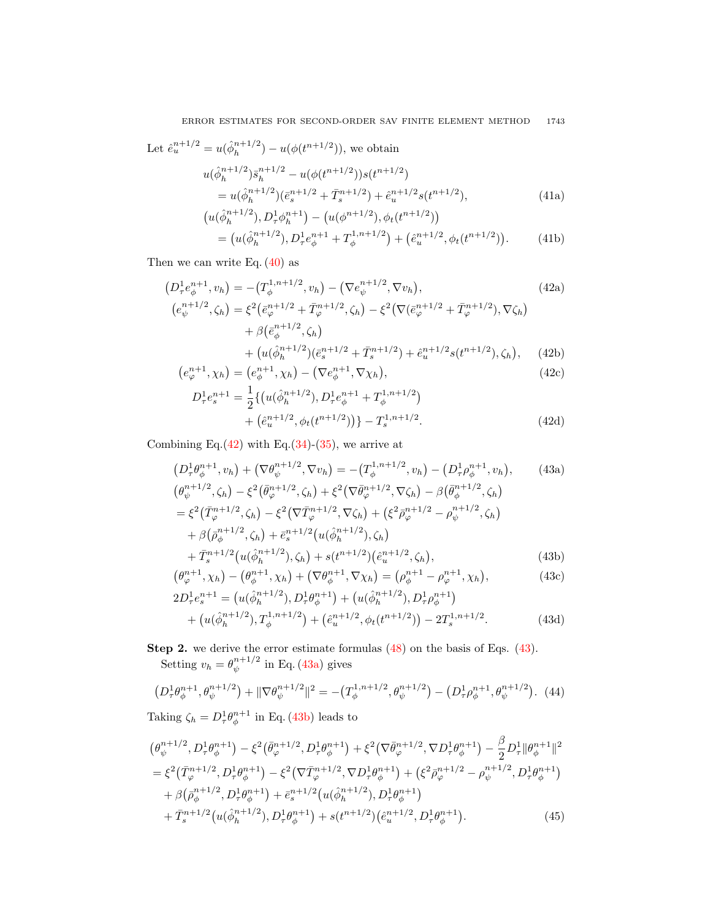Let 
$$
\hat{e}_u^{n+1/2} = u(\hat{\phi}_h^{n+1/2}) - u(\phi(t^{n+1/2})),
$$
 we obtain  
\n
$$
u(\hat{\phi}_h^{n+1/2}) \bar{s}_h^{n+1/2} - u(\phi(t^{n+1/2})) s(t^{n+1/2})
$$
\n
$$
= u(\hat{\phi}_h^{n+1/2}) (\bar{e}_s^{n+1/2} + \bar{T}_s^{n+1/2}) + \hat{e}_u^{n+1/2} s(t^{n+1/2}),
$$
\n
$$
(u(\hat{\phi}_h^{n+1/2}), D_\tau^1 \phi_h^{n+1}) - (u(\phi^{n+1/2}), \phi_t(t^{n+1/2}))
$$
\n(41a)

<span id="page-8-1"></span>
$$
u(\hat{\phi}_h^{n+1/2}), D_\tau^1 \phi_h^{n+1}) - (u(\phi^{n+1/2}), \phi_t(t^{n+1/2}))
$$
  
=  $(u(\hat{\phi}_h^{n+1/2}), D_\tau^1 e_\phi^{n+1} + T_\phi^{1,n+1/2}) + (\hat{e}_u^{n+1/2}, \phi_t(t^{n+1/2})).$  (41b)

Then we can write Eq.  $(40)$  as

$$
(D_{\tau}^{1}e_{\phi}^{n+1}, v_h) = -(T_{\phi}^{1,n+1/2}, v_h) - (\nabla e_{\psi}^{n+1/2}, \nabla v_h),
$$
\n
$$
(42a)
$$
\n
$$
(e_{\psi}^{n+1/2}, \zeta_h) = \xi^2 (e_{\varphi}^{n+1/2} + \bar{T}_{\varphi}^{n+1/2}, \zeta_h) - \xi^2 (\nabla (e_{\varphi}^{n+1/2} + \bar{T}_{\varphi}^{n+1/2}), \nabla \zeta_h)
$$
\n
$$
+ \beta (e_{\phi}^{n+1/2}, \zeta_h)
$$
\n
$$
+ (u(\hat{\phi}_h^{n+1/2})(\bar{e}_s^{n+1/2} + \bar{T}_s^{n+1/2}) + \hat{e}_u^{n+1/2} s(t^{n+1/2}), \zeta_h),
$$
\n(42b)

$$
(e_{\varphi}^{n+1}, \chi_h) = (e_{\phi}^{n+1}, \chi_h) - (\nabla e_{\phi}^{n+1}, \nabla \chi_h), \qquad (42c)
$$

<span id="page-8-2"></span><span id="page-8-0"></span>
$$
D_{\tau}^{1}e_{s}^{n+1} = \frac{1}{2} \{ \left( u(\hat{\phi}_{h}^{n+1/2}), D_{\tau}^{1}e_{\phi}^{n+1} + T_{\phi}^{1,n+1/2} \right) + \left( \hat{e}_{u}^{n+1/2}, \phi_{t}(t^{n+1/2}) \right) \} - T_{s}^{1,n+1/2}.
$$
\n(42d)

Combining Eq. $(42)$  with Eq. $(34)-(35)$  $(34)-(35)$  $(34)-(35)$ , we arrive at

$$
(D_{\tau}^{1}\theta_{\phi}^{n+1}, v_{h}) + (\nabla \theta_{\psi}^{n+1/2}, \nabla v_{h}) = -(T_{\phi}^{1,n+1/2}, v_{h}) - (D_{\tau}^{1}\rho_{\phi}^{n+1}, v_{h}),
$$
(43a)  

$$
(\theta_{\psi}^{n+1/2}, \zeta_{h}) - \xi^{2}(\bar{\theta}_{\varphi}^{n+1/2}, \zeta_{h}) + \xi^{2}(\nabla \bar{\theta}_{\varphi}^{n+1/2}, \nabla \zeta_{h}) - \beta(\bar{\theta}_{\phi}^{n+1/2}, \zeta_{h})
$$

$$
= \xi^{2}(\bar{T}_{\varphi}^{n+1/2}, \zeta_{h}) - \xi^{2}(\nabla \bar{T}_{\varphi}^{n+1/2}, \nabla \zeta_{h}) + (\xi^{2}\bar{\rho}_{\varphi}^{n+1/2} - \rho_{\psi}^{n+1/2}, \zeta_{h})
$$

$$
+ \beta(\bar{\rho}_{\phi}^{n+1/2}, \zeta_{h}) + \bar{e}_{s}^{n+1/2}(u(\hat{\phi}_{h}^{n+1/2}), \zeta_{h})
$$

$$
+ \bar{T}_{s}^{n+1/2}(u(\hat{\phi}_{h}^{n+1/2}), \zeta_{h}) + s(t^{n+1/2})(\hat{e}_{u}^{n+1/2}, \zeta_{h}),
$$
(43b)

<span id="page-8-4"></span><span id="page-8-3"></span>
$$
(\theta_{\varphi}^{n+1}, \chi_h) - (\theta_{\phi}^{n+1}, \chi_h) + (\nabla \theta_{\phi}^{n+1}, \nabla \chi_h) = (\rho_{\phi}^{n+1} - \rho_{\varphi}^{n+1}, \chi_h),
$$
(43c)

<span id="page-8-6"></span><span id="page-8-5"></span>
$$
2D_{\tau}^{1}e_{s}^{n+1} = (u(\hat{\phi}_{h}^{n+1/2}), D_{\tau}^{1}\theta_{\phi}^{n+1}) + (u(\hat{\phi}_{h}^{n+1/2}), D_{\tau}^{1}\rho_{\phi}^{n+1}) + (u(\hat{\phi}_{h}^{n+1/2}), T_{\phi}^{1,n+1/2}) + (\hat{e}_{u}^{n+1/2}, \phi_{t}(t^{n+1/2})) - 2T_{s}^{1,n+1/2}.
$$
 (43d)

**Step 2.** we derive the error estimate formulas  $(48)$  on the basis of Eqs.  $(43)$ . Setting  $v_h = \theta_{\psi}^{n+1/2}$  $\psi^{n+1/2}$  in Eq. [\(43a\)](#page-8-2) gives

$$
(D^1_\tau \theta^{n+1}_\phi, \theta^{n+1/2}_\psi) + \|\nabla \theta^{n+1/2}_\psi\|^2 = -(T^{1,n+1/2}_\phi, \theta^{n+1/2}_\psi) - (D^1_\tau \rho^{n+1}_\phi, \theta^{n+1/2}_\psi). \tag{44}
$$

Taking  $\zeta_h = D^1_\tau \theta^{n+1}_\phi$  in Eq. [\(43b\)](#page-8-3) leads to

$$
\begin{split}\n&\left(\theta_{\psi}^{n+1/2}, D_{\tau}^{1} \theta_{\phi}^{n+1}\right) - \xi^{2} \left(\bar{\theta}_{\varphi}^{n+1/2}, D_{\tau}^{1} \theta_{\phi}^{n+1}\right) + \xi^{2} \left(\nabla \bar{\theta}_{\varphi}^{n+1/2}, \nabla D_{\tau}^{1} \theta_{\phi}^{n+1}\right) - \frac{\beta}{2} D_{\tau}^{1} \|\theta_{\phi}^{n+1}\|^{2} \\
&= \xi^{2} \left(\bar{T}_{\varphi}^{n+1/2}, D_{\tau}^{1} \theta_{\phi}^{n+1}\right) - \xi^{2} \left(\nabla \bar{T}_{\varphi}^{n+1/2}, \nabla D_{\tau}^{1} \theta_{\phi}^{n+1}\right) + \left(\xi^{2} \bar{\rho}_{\varphi}^{n+1/2} - \rho_{\psi}^{n+1/2}, D_{\tau}^{1} \theta_{\phi}^{n+1}\right) \\
&+ \beta \left(\bar{\rho}_{\phi}^{n+1/2}, D_{\tau}^{1} \theta_{\phi}^{n+1}\right) + \bar{e}_{s}^{n+1/2} \left(u(\hat{\phi}_{h}^{n+1/2}), D_{\tau}^{1} \theta_{\phi}^{n+1}\right) \\
&+ \bar{T}_{s}^{n+1/2} \left(u(\hat{\phi}_{h}^{n+1/2}), D_{\tau}^{1} \theta_{\phi}^{n+1}\right) + s \left(t^{n+1/2}\right) \left(\hat{e}_{u}^{n+1/2}, D_{\tau}^{1} \theta_{\phi}^{n+1}\right).\n\end{split} \tag{45}
$$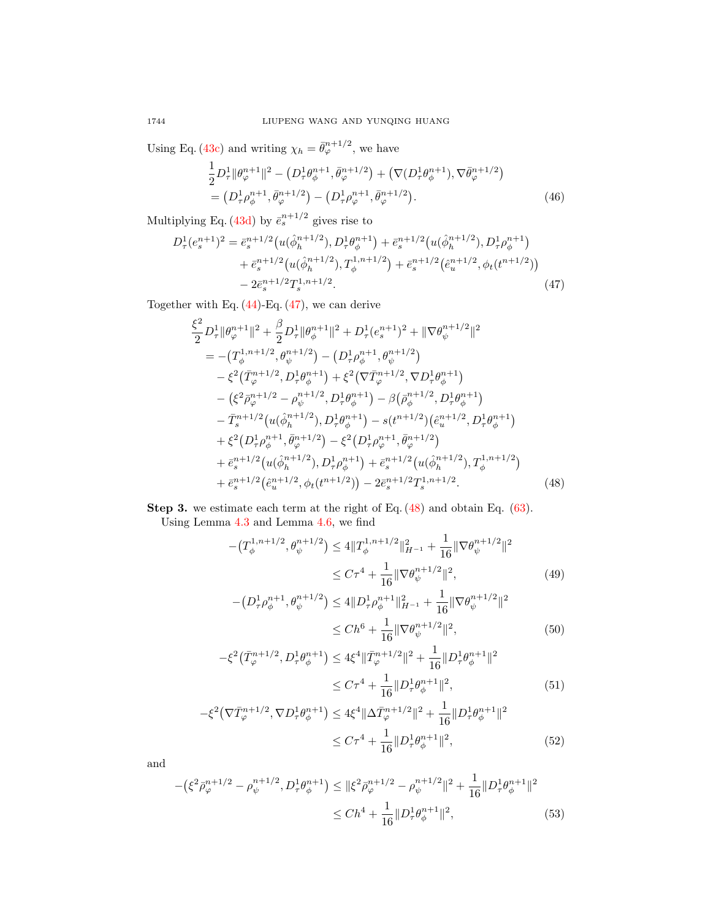Using Eq. [\(43c\)](#page-8-4) and writing  $\chi_h = \bar{\theta}_{\varphi}^{n+1/2}$ , we have

$$
\frac{1}{2}D_{\tau}^{1} \|\theta_{\varphi}^{n+1}\|^{2} - \left(D_{\tau}^{1}\theta_{\phi}^{n+1}, \bar{\theta}_{\varphi}^{n+1/2}\right) + \left(\nabla(D_{\tau}^{1}\theta_{\phi}^{n+1}), \nabla\bar{\theta}_{\varphi}^{n+1/2}\right) \n= \left(D_{\tau}^{1}\rho_{\phi}^{n+1}, \bar{\theta}_{\varphi}^{n+1/2}\right) - \left(D_{\tau}^{1}\rho_{\varphi}^{n+1}, \bar{\theta}_{\varphi}^{n+1/2}\right).
$$
\n(46)

Multiplying Eq. [\(43d\)](#page-8-5) by  $\bar{e}_s^{n+1/2}$  gives rise to

$$
D_{\tau}^{1}(e_{s}^{n+1})^{2} = \bar{e}_{s}^{n+1/2} \left( u(\hat{\phi}_{h}^{n+1/2}), D_{\tau}^{1}\theta_{\phi}^{n+1} \right) + \bar{e}_{s}^{n+1/2} \left( u(\hat{\phi}_{h}^{n+1/2}), D_{\tau}^{1}\rho_{\phi}^{n+1} \right) + \bar{e}_{s}^{n+1/2} \left( u(\hat{\phi}_{h}^{n+1/2}), T_{\phi}^{1,n+1/2} \right) + \bar{e}_{s}^{n+1/2} \left( \hat{e}_{u}^{n+1/2}, \phi_{t}(t^{n+1/2}) \right) - 2\bar{e}_{s}^{n+1/2} T_{s}^{1,n+1/2}.
$$
\n(47)

Together with Eq. [\(44\)](#page-8-6)-Eq. [\(47\)](#page-9-1), we can derive

<span id="page-9-1"></span>
$$
\frac{\xi^{2}}{2}D_{\tau}^{1}||\theta_{\varphi}^{n+1}||^{2} + \frac{\beta}{2}D_{\tau}^{1}||\theta_{\phi}^{n+1}||^{2} + D_{\tau}^{1}(e_{s}^{n+1})^{2} + ||\nabla\theta_{\psi}^{n+1/2}||^{2}
$$
\n
$$
= -(T_{\phi}^{1,n+1/2}, \theta_{\psi}^{n+1/2}) - (D_{\tau}^{1}\rho_{\phi}^{n+1}, \theta_{\psi}^{n+1/2})
$$
\n
$$
- \xi^{2}(\bar{T}_{\varphi}^{n+1/2}, D_{\tau}^{1}\theta_{\phi}^{n+1}) + \xi^{2}(\nabla\bar{T}_{\varphi}^{n+1/2}, \nabla D_{\tau}^{1}\theta_{\phi}^{n+1})
$$
\n
$$
- (\xi^{2}\bar{\rho}_{\varphi}^{n+1/2} - \rho_{\psi}^{n+1/2}, D_{\tau}^{1}\theta_{\phi}^{n+1}) - \beta(\bar{\rho}_{\phi}^{n+1/2}, D_{\tau}^{1}\theta_{\phi}^{n+1})
$$
\n
$$
- \bar{T}_{s}^{n+1/2}(u(\hat{\phi}_{h}^{n+1/2}), D_{\tau}^{1}\theta_{\phi}^{n+1}) - s(t^{n+1/2})(\hat{e}_{u}^{n+1/2}, D_{\tau}^{1}\theta_{\phi}^{n+1})
$$
\n
$$
+ \xi^{2}(D_{\tau}^{1}\rho_{\phi}^{n+1}, \bar{\theta}_{\phi}^{n+1/2}) - \xi^{2}(D_{\tau}^{1}\rho_{\phi}^{n+1}, \bar{\theta}_{\phi}^{n+1/2})
$$
\n
$$
+ \bar{e}_{s}^{n+1/2}(u(\hat{\phi}_{h}^{n+1/2}), D_{\tau}^{1}\rho_{\phi}^{n+1}) + \bar{e}_{s}^{n+1/2}(u(\hat{\phi}_{h}^{n+1/2}), T_{\phi}^{1,n+1/2})
$$
\n
$$
+ \bar{e}_{s}^{n+1/2}(\hat{e}_{u}^{n+1/2}, \phi_{t}(t^{n+1/2})) - 2\bar{e}_{s}^{n+1/2}T_{s}^{1,n+1/2}.
$$
\n(48)

Step 3. we estimate each term at the right of Eq.  $(48)$  and obtain Eq.  $(63)$ .

Using Lemma [4.3](#page-6-2) and Lemma [4.6,](#page-7-5) we find

$$
-(T_{\phi}^{1,n+1/2}, \theta_{\psi}^{n+1/2}) \le 4 \|T_{\phi}^{1,n+1/2}\|_{H^{-1}}^2 + \frac{1}{16} \|\nabla \theta_{\psi}^{n+1/2}\|^2
$$
  

$$
\le C\tau^4 + \frac{1}{16} \|\nabla \theta_{\psi}^{n+1/2}\|^2,
$$
 (49)

$$
-(D^1_\tau \rho_\phi^{n+1}, \theta_\psi^{n+1/2}) \le 4||D^1_\tau \rho_\phi^{n+1}||_{H^{-1}}^2 + \frac{1}{16}||\nabla \theta_\psi^{n+1/2}||^2
$$

<span id="page-9-2"></span><span id="page-9-0"></span>
$$
\le Ch^6 + \frac{1}{16} \|\nabla \theta_{\psi}^{n+1/2}\|^2,\tag{50}
$$

$$
-\xi^2(\bar{T}_{\varphi}^{n+1/2}, D_{\tau}^1 \theta_{\phi}^{n+1}) \le 4\xi^4 \|\bar{T}_{\varphi}^{n+1/2}\|^2 + \frac{1}{16} \|D_{\tau}^1 \theta_{\phi}^{n+1}\|^2
$$
  

$$
\le C\tau^4 + \frac{1}{16} \|D_{\tau}^1 \theta_{\phi}^{n+1}\|^2,
$$
 (51)

$$
-\xi^2 \left(\nabla \bar{T}_{\varphi}^{n+1/2}, \nabla D_{\tau}^1 \theta_{\phi}^{n+1}\right) \le 4\xi^4 \|\Delta \bar{T}_{\varphi}^{n+1/2}\|^2 + \frac{1}{16} \|D_{\tau}^1 \theta_{\phi}^{n+1}\|^2
$$
  

$$
\le C\tau^4 + \frac{1}{16} \|D_{\tau}^1 \theta_{\phi}^{n+1}\|^2, \tag{52}
$$

and

$$
-(\xi^2 \bar{\rho}_{\varphi}^{n+1/2} - \rho_{\psi}^{n+1/2}, D_{\tau}^1 \theta_{\phi}^{n+1}) \le ||\xi^2 \bar{\rho}_{\varphi}^{n+1/2} - \rho_{\psi}^{n+1/2}||^2 + \frac{1}{16}||D_{\tau}^1 \theta_{\phi}^{n+1}||^2
$$
  

$$
\le Ch^4 + \frac{1}{16}||D_{\tau}^1 \theta_{\phi}^{n+1}||^2,
$$
 (53)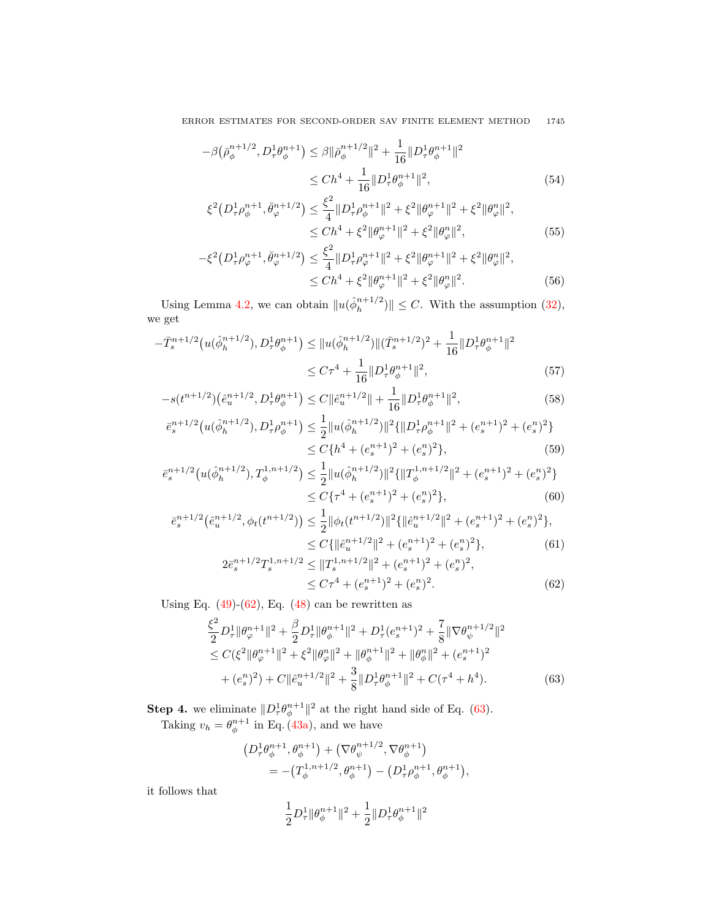ERROR ESTIMATES FOR SECOND-ORDER SAV FINITE ELEMENT METHOD 1745

$$
-\beta(\bar{\rho}_{\phi}^{n+1/2}, D_{\tau}^1 \theta_{\phi}^{n+1}) \leq \beta \|\bar{\rho}_{\phi}^{n+1/2}\|^2 + \frac{1}{16} \|D_{\tau}^1 \theta_{\phi}^{n+1}\|^2
$$
  

$$
\leq Ch^4 + \frac{1}{16} \|D_{\tau}^1 \theta_{\phi}^{n+1}\|^2,
$$
 (54)

$$
\xi^{2}(D_{\tau}^{1}\rho_{\phi}^{n+1}, \bar{\theta}_{\varphi}^{n+1/2}) \leq \frac{\xi^{2}}{4} \|D_{\tau}^{1}\rho_{\phi}^{n+1}\|^{2} + \xi^{2} \|\theta_{\varphi}^{n+1}\|^{2} + \xi^{2} \|\theta_{\varphi}^{n}\|^{2},
$$
  

$$
\leq Ch^{4} + \xi^{2} \|\theta_{\varphi}^{n+1}\|^{2} + \xi^{2} \|\theta_{\varphi}^{n}\|^{2},
$$
(55)

$$
-\xi^2 \left(D_\tau^1 \rho_\varphi^{n+1}, \bar{\theta}_\varphi^{n+1/2}\right) \le \frac{\xi^2}{4} \|D_\tau^1 \rho_\varphi^{n+1}\|^2 + \xi^2 \|\theta_\varphi^{n+1}\|^2 + \xi^2 \|\theta_\varphi^{n}\|^2, \le Ch^4 + \xi^2 \|\theta_\varphi^{n+1}\|^2 + \xi^2 \|\theta_\varphi^{n}\|^2.
$$
 (56)

Using Lemma [4.2,](#page-5-3) we can obtain  $\|u(\hat{\phi}_h^{n+1/2})\|$  $\|h^{n+1/2}\| \leq C$ . With the assumption [\(32\)](#page-7-0), we get

$$
-\bar{T}_s^{n+1/2} \left( u(\hat{\phi}_h^{n+1/2}), D_\tau^1 \theta_\phi^{n+1} \right) \leq \| u(\hat{\phi}_h^{n+1/2}) \| (\bar{T}_s^{n+1/2})^2 + \frac{1}{16} \| D_\tau^1 \theta_\phi^{n+1} \|^2
$$
  

$$
\leq C\tau^4 + \frac{1}{16} \| D_\tau^1 \theta_\phi^{n+1} \|^2,
$$
 (57)

$$
-s(t^{n+1/2})\left(\hat{e}_u^{n+1/2}, D_\tau^1 \theta_\phi^{n+1}\right) \le C \|\hat{e}_u^{n+1/2}\| + \frac{1}{16} \|D_\tau^1 \theta_\phi^{n+1}\|^2,\tag{58}
$$

$$
\bar{e}_s^{n+1/2} \left( u(\hat{\phi}_h^{n+1/2}), D_\tau^1 \rho_\phi^{n+1} \right) \le \frac{1}{2} \| u(\hat{\phi}_h^{n+1/2}) \|^2 \{ \| D_\tau^1 \rho_\phi^{n+1} \|^2 + (e_s^{n+1})^2 + (e_s^n)^2 \} \\
\le C \{ h^4 + (e_s^{n+1})^2 + (e_s^n)^2 \}, \tag{59}
$$

$$
\bar{e}_s^{n+1/2} \left( u(\hat{\phi}_h^{n+1/2}), T_{\phi}^{1,n+1/2} \right) \le \frac{1}{2} \| u(\hat{\phi}_h^{n+1/2}) \|^{2} \{ \| T_{\phi}^{1,n+1/2} \|^{2} + (e_s^{n+1})^2 + (e_s^{n})^2 \} \n\le C \{ \tau^4 + (e_s^{n+1})^2 + (e_s^{n})^2 \},
$$
\n(60)

$$
\bar{e}_s^{n+1/2}(\hat{e}_u^{n+1/2}, \phi_t(t^{n+1/2})) \le \frac{1}{2} \|\phi_t(t^{n+1/2})\|^2 \{\|\hat{e}_u^{n+1/2}\|^2 + (e_s^{n+1})^2 + (e_s^n)^2\},
$$
  

$$
\le C \{\|\hat{e}_u^{n+1/2}\|^2 + (e_s^{n+1})^2 + (e_s^n)^2\},
$$
(61)

<span id="page-10-1"></span>
$$
2\bar{e}_s^{n+1/2}T_s^{1,n+1/2} \le ||T_s^{1,n+1/2}||^2 + (e_s^{n+1})^2 + (e_s^n)^2,
$$
  
 
$$
\le C\tau^4 + (e_s^{n+1})^2 + (e_s^n)^2.
$$
 (62)

Using Eq.  $(49)-(62)$  $(49)-(62)$  $(49)-(62)$ , Eq.  $(48)$  can be rewritten as

$$
\frac{\xi^2}{2} D_{\tau}^1 \|\theta_{\varphi}^{n+1}\|^2 + \frac{\beta}{2} D_{\tau}^1 \|\theta_{\phi}^{n+1}\|^2 + D_{\tau}^1 (e_s^{n+1})^2 + \frac{7}{8} \|\nabla \theta_{\psi}^{n+1/2}\|^2 \n\leq C(\xi^2 \|\theta_{\varphi}^{n+1}\|^2 + \xi^2 \|\theta_{\varphi}^{n}\|^2 + \|\theta_{\phi}^{n+1}\|^2 + \|\theta_{\phi}^{n}\|^2 + (e_s^{n+1})^2 \n+ (e_s^{n})^2 + C \|\hat{e}_u^{n+1/2}\|^2 + \frac{3}{8} \|D_{\tau}^1 \theta_{\phi}^{n+1}\|^2 + C(\tau^4 + h^4).
$$
\n(63)

**Step 4.** we eliminate  $||D^1_{\tau}\theta^{n+1}_{\phi}||^2$  at the right hand side of Eq. [\(63\)](#page-10-0).

Taking  $v_h = \theta_{\phi}^{n+1}$  in Eq. [\(43a\)](#page-8-2), and we have

$$
\begin{split} \left(D_{\tau}^1\theta_{\phi}^{n+1},\theta_{\phi}^{n+1}\right) + \left(\nabla\theta_{\psi}^{n+1/2},\nabla\theta_{\phi}^{n+1}\right) \\ = -\left(T_{\phi}^{1,n+1/2},\theta_{\phi}^{n+1}\right) - \left(D_{\tau}^1\rho_{\phi}^{n+1},\theta_{\phi}^{n+1}\right), \end{split}
$$

it follows that

<span id="page-10-0"></span>
$$
\frac{1}{2} D^1_\tau \| \theta^{n+1}_\phi \|^2 + \frac{1}{2} \| D^1_\tau \theta^{n+1}_\phi \|^2
$$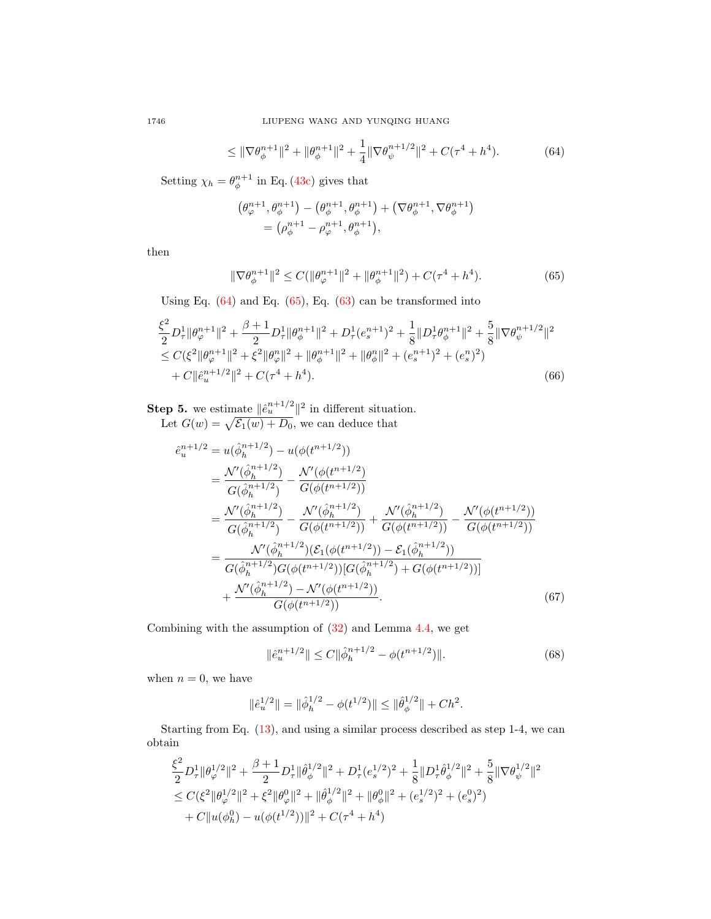$$
\leq \|\nabla \theta_{\phi}^{n+1}\|^2 + \|\theta_{\phi}^{n+1}\|^2 + \frac{1}{4} \|\nabla \theta_{\psi}^{n+1/2}\|^2 + C(\tau^4 + h^4). \tag{64}
$$

Setting  $\chi_h = \theta_{\phi}^{n+1}$  in Eq. [\(43c\)](#page-8-4) gives that

<span id="page-11-1"></span><span id="page-11-0"></span>
$$
\begin{aligned} \left(\theta^{n+1}_{\varphi},\theta^{n+1}_{\phi}\right) & -\left(\theta^{n+1}_{\phi},\theta^{n+1}_{\phi}\right) + \left(\nabla\theta^{n+1}_{\phi},\nabla\theta^{n+1}_{\phi}\right) \\ & = \left(\rho^{n+1}_{\phi}-\rho^{n+1}_{\varphi},\theta^{n+1}_{\phi}\right), \end{aligned}
$$

then

<span id="page-11-2"></span>
$$
\|\nabla \theta_{\phi}^{n+1}\|^2 \le C(\|\theta_{\varphi}^{n+1}\|^2 + \|\theta_{\phi}^{n+1}\|^2) + C(\tau^4 + h^4). \tag{65}
$$

Using Eq.  $(64)$  and Eq.  $(65)$ , Eq.  $(63)$  can be transformed into

$$
\frac{\xi^2}{2} D_{\tau}^1 \|\theta_{\varphi}^{n+1}\|^2 + \frac{\beta+1}{2} D_{\tau}^1 \|\theta_{\phi}^{n+1}\|^2 + D_{\tau}^1 (e_s^{n+1})^2 + \frac{1}{8} \|D_{\tau}^1 \theta_{\phi}^{n+1}\|^2 + \frac{5}{8} \|\nabla \theta_{\psi}^{n+1/2}\|^2 \n\leq C(\xi^2 \|\theta_{\varphi}^{n+1}\|^2 + \xi^2 \|\theta_{\varphi}^{n}\|^2 + \|\theta_{\phi}^{n+1}\|^2 + \|\theta_{\phi}^{n}\|^2 + (e_s^{n+1})^2 + (e_s^{n})^2) \n+ C \|\hat{e}_u^{n+1/2}\|^2 + C(\tau^4 + h^4).
$$
\n(66)

**Step 5.** we estimate  $\|\hat{e}_u^{n+1/2}\|^2$  in different situation. Let  $G(w) = \sqrt{\mathcal{E}_1(w) + D_0}$ , we can deduce that

$$
\begin{split}\n\hat{e}_{u}^{n+1/2} &= u(\hat{\phi}_{h}^{n+1/2}) - u(\phi(t^{n+1/2})) \\
&= \frac{\mathcal{N}'(\hat{\phi}_{h}^{n+1/2})}{G(\hat{\phi}_{h}^{n+1/2})} - \frac{\mathcal{N}'(\phi(t^{n+1/2}))}{G(\phi(t^{n+1/2}))} \\
&= \frac{\mathcal{N}'(\hat{\phi}_{h}^{n+1/2})}{G(\hat{\phi}_{h}^{n+1/2})} - \frac{\mathcal{N}'(\hat{\phi}_{h}^{n+1/2})}{G(\phi(t^{n+1/2}))} + \frac{\mathcal{N}'(\hat{\phi}_{h}^{n+1/2})}{G(\phi(t^{n+1/2}))} - \frac{\mathcal{N}'(\phi(t^{n+1/2}))}{G(\phi(t^{n+1/2}))} \\
&= \frac{\mathcal{N}'(\hat{\phi}_{h}^{n+1/2})\left(\mathcal{E}_{1}(\phi(t^{n+1/2})) - \mathcal{E}_{1}(\hat{\phi}_{h}^{n+1/2}))\right)}{G(\hat{\phi}_{h}^{n+1/2})G(\phi(t^{n+1/2}))[G(\hat{\phi}_{h}^{n+1/2}) + G(\phi(t^{n+1/2}))]} \\
&+ \frac{\mathcal{N}'(\hat{\phi}_{h}^{n+1/2}) - \mathcal{N}'(\phi(t^{n+1/2}))}{G(\phi(t^{n+1/2}))}.\n\end{split} \tag{67}
$$

Combining with the assumption of [\(32\)](#page-7-0) and Lemma [4.4,](#page-6-0) we get

$$
\|\hat{e}_u^{n+1/2}\| \le C \|\hat{\phi}_h^{n+1/2} - \phi(t^{n+1/2})\|.
$$
 (68)

when  $n = 0$ , we have

$$
\|\hat{e}_u^{1/2}\| = \|\hat{\phi}_h^{1/2} - \phi(t^{1/2})\| \le \|\hat{\theta}_{\phi}^{1/2}\| + Ch^2.
$$

Starting from Eq. [\(13\)](#page-4-7), and using a similar process described as step 1-4, we can obtain

$$
\begin{aligned} &\frac{\xi^2}{2}D_\tau^1\|\theta_\varphi^{1/2}\|^2+\frac{\beta+1}{2}D_\tau^1\|\hat{\theta}_\phi^{1/2}\|^2+D_\tau^1(e_s^{1/2})^2+\frac{1}{8}\|D_\tau^1\hat{\theta}_\phi^{1/2}\|^2+\frac{5}{8}\|\nabla\theta_\psi^{1/2}\|^2\\ &\leq C(\xi^2\|\theta_\varphi^{1/2}\|^2+\xi^2\|\theta_\varphi^0\|^2+\|\hat{\theta}_\phi^{1/2}\|^2+\|\theta_\phi^0\|^2+(e_s^{1/2})^2+(e_s^0)^2)\\ &+C\|u(\phi_h^0)-u(\phi(t^{1/2}))\|^2+C(\tau^4+h^4) \end{aligned}
$$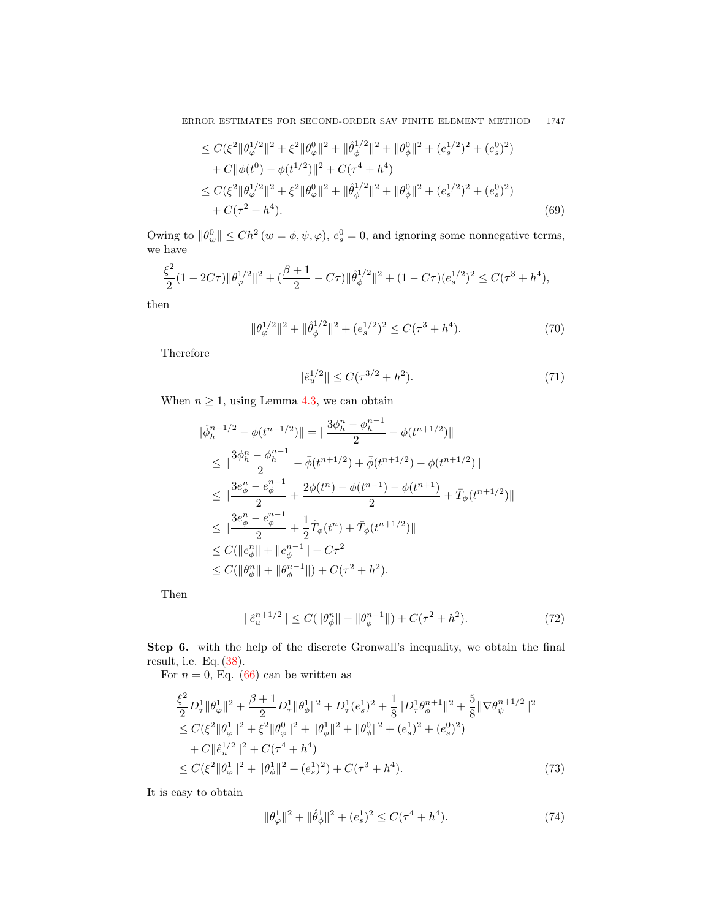ERROR ESTIMATES FOR SECOND-ORDER SAV FINITE ELEMENT METHOD 1747

$$
\leq C(\xi^2 \|\theta_{\varphi}^{1/2}\|^2 + \xi^2 \|\theta_{\varphi}^{0}\|^2 + \|\hat{\theta}_{\phi}^{1/2}\|^2 + \|\theta_{\phi}^{0}\|^2 + (e_s^{1/2})^2 + (e_s^{0})^2)
$$
  
+  $C \|\phi(t^0) - \phi(t^{1/2})\|^2 + C(\tau^4 + h^4)$   

$$
\leq C(\xi^2 \|\theta_{\varphi}^{1/2}\|^2 + \xi^2 \|\theta_{\varphi}^{0}\|^2 + \|\hat{\theta}_{\phi}^{1/2}\|^2 + \|\theta_{\phi}^{0}\|^2 + (e_s^{1/2})^2 + (e_s^{0})^2)
$$
  
+  $C(\tau^2 + h^4)$ . (69)

Owing to  $\|\theta_w^0\| \le Ch^2 (w = \phi, \psi, \varphi), e_s^0 = 0$ , and ignoring some nonnegative terms, we have

$$
\frac{\xi^2}{2}(1 - 2C\tau)\|\theta_{\varphi}^{1/2}\|^2 + (\frac{\beta + 1}{2} - C\tau)\|\hat{\theta}_{\phi}^{1/2}\|^2 + (1 - C\tau)(e_s^{1/2})^2 \le C(\tau^3 + h^4),
$$

then

$$
\|\theta_{\varphi}^{1/2}\|^2 + \|\hat{\theta}_{\phi}^{1/2}\|^2 + (e_s^{1/2})^2 \le C(\tau^3 + h^4). \tag{70}
$$

Therefore

$$
\|\hat{e}_u^{1/2}\| \le C(\tau^{3/2} + h^2). \tag{71}
$$

When  $n \geq 1$ , using Lemma [4.3,](#page-6-2) we can obtain

$$
\begin{split} \|\hat{\phi}_h^{n+1/2} - \phi(t^{n+1/2})\| &= \|\frac{3\phi_h^n - \phi_h^{n-1}}{2} - \phi(t^{n+1/2})\| \\ &\le \|\frac{3\phi_h^n - \phi_h^{n-1}}{2} - \bar{\phi}(t^{n+1/2}) + \bar{\phi}(t^{n+1/2}) - \phi(t^{n+1/2})\| \\ &\le \|\frac{3e_\phi^n - e_\phi^{n-1}}{2} + \frac{2\phi(t^n) - \phi(t^{n-1}) - \phi(t^{n+1})}{2} + \bar{T}_{\phi}(t^{n+1/2})\| \\ &\le \|\frac{3e_\phi^n - e_\phi^{n-1}}{2} + \frac{1}{2}\tilde{T}_{\phi}(t^n) + \bar{T}_{\phi}(t^{n+1/2})\| \\ &\le C(\|e_\phi^n\| + \|e_\phi^{n-1}\| + C\tau^2 \\ &\le C(\|\theta_\phi^n\| + \|\theta_\phi^{n-1}\|) + C(\tau^2 + h^2). \end{split}
$$

Then

$$
\|\hat{e}_u^{n+1/2}\| \le C(\|\theta_{\phi}^n\| + \|\theta_{\phi}^{n-1}\|) + C(\tau^2 + h^2). \tag{72}
$$

Step 6. with the help of the discrete Gronwall's inequality, we obtain the final result, i.e. Eq. [\(38\)](#page-7-6).

For  $n = 0$ , Eq. [\(66\)](#page-11-2) can be written as

$$
\frac{\xi^2}{2} D_{\tau}^1 \|\theta_{\varphi}^1\|^2 + \frac{\beta + 1}{2} D_{\tau}^1 \|\theta_{\phi}^1\|^2 + D_{\tau}^1 (e_s^1)^2 + \frac{1}{8} \|D_{\tau}^1 \theta_{\phi}^{n+1}\|^2 + \frac{5}{8} \|\nabla \theta_{\psi}^{n+1/2}\|^2
$$
\n
$$
\leq C(\xi^2 \|\theta_{\varphi}^1\|^2 + \xi^2 \|\theta_{\phi}^0\|^2 + \|\theta_{\phi}^1\|^2 + \|\theta_{\phi}^0\|^2 + (e_s^1)^2 + (e_s^0)^2)
$$
\n
$$
+ C \|\hat{e}_u^{1/2}\|^2 + C(\tau^4 + h^4)
$$
\n
$$
\leq C(\xi^2 \|\theta_{\varphi}^1\|^2 + \|\theta_{\phi}^1\|^2 + (e_s^1)^2) + C(\tau^3 + h^4). \tag{73}
$$

It is easy to obtain

<span id="page-12-0"></span>
$$
\|\theta_{\varphi}^{1}\|^{2} + \|\hat{\theta}_{\phi}^{1}\|^{2} + (e_{s}^{1})^{2} \le C(\tau^{4} + h^{4}).
$$
\n(74)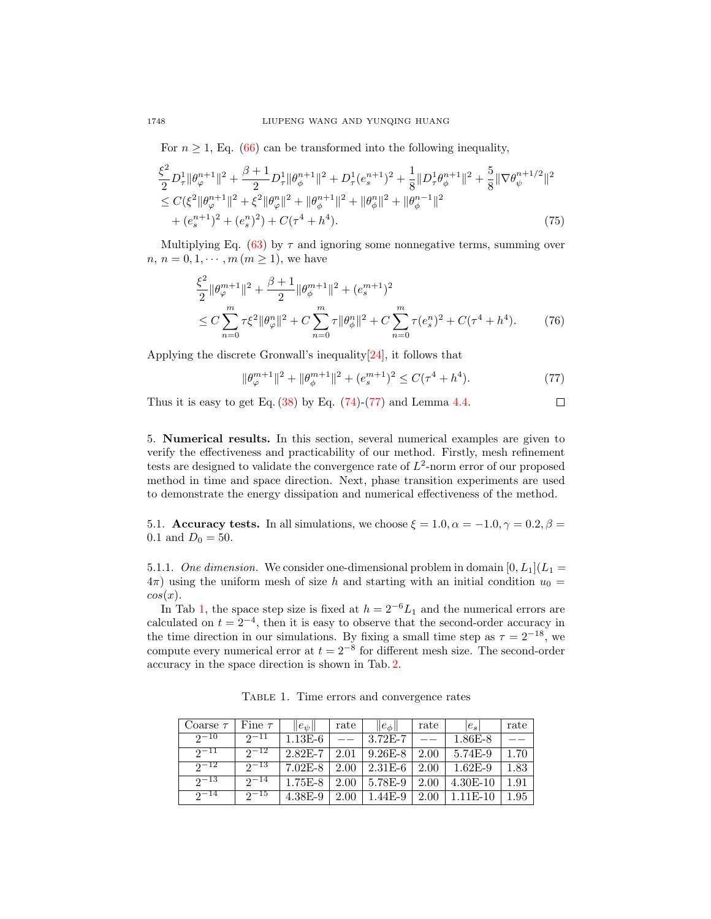For  $n \geq 1$ , Eq. [\(66\)](#page-11-2) can be transformed into the following inequality,

$$
\frac{\xi^{2}}{2}D_{\tau}^{1} \|\theta_{\varphi}^{n+1}\|^{2} + \frac{\beta+1}{2}D_{\tau}^{1} \|\theta_{\phi}^{n+1}\|^{2} + D_{\tau}^{1}(e_{s}^{n+1})^{2} + \frac{1}{8}||D_{\tau}^{1}\theta_{\phi}^{n+1}||^{2} + \frac{5}{8}||\nabla\theta_{\psi}^{n+1/2}||^{2} \n\leq C(\xi^{2} \|\theta_{\varphi}^{n+1}\|^{2} + \xi^{2} \|\theta_{\varphi}^{n}||^{2} + \|\theta_{\phi}^{n+1}||^{2} + \|\theta_{\phi}^{n}||^{2} + \|\theta_{\phi}^{n-1}||^{2} \n+ (e_{s}^{n+1})^{2} + (e_{s}^{n})^{2}) + C(\tau^{4} + h^{4}). \n\tag{75}
$$

Multiplying Eq. [\(63\)](#page-10-0) by  $\tau$  and ignoring some nonnegative terms, summing over  $n, n = 0, 1, \dots, m (m \ge 1)$ , we have

$$
\frac{\xi^2}{2} \|\theta_{\varphi}^{m+1}\|^2 + \frac{\beta+1}{2} \|\theta_{\phi}^{m+1}\|^2 + (e_s^{m+1})^2
$$
  
\n
$$
\leq C \sum_{n=0}^m \tau \xi^2 \|\theta_{\varphi}^n\|^2 + C \sum_{n=0}^m \tau \|\theta_{\phi}^n\|^2 + C \sum_{n=0}^m \tau (e_s^n)^2 + C(\tau^4 + h^4). \tag{76}
$$

Applying the discrete Gronwall's inequality[\[24\]](#page-17-24), it follows that

$$
\|\theta_{\varphi}^{m+1}\|^2 + \|\theta_{\phi}^{m+1}\|^2 + (e_s^{m+1})^2 \le C(\tau^4 + h^4). \tag{77}
$$

<span id="page-13-1"></span> $\Box$ 

Thus it is easy to get Eq.  $(38)$  by Eq.  $(74)-(77)$  $(74)-(77)$  $(74)-(77)$  and Lemma [4.4.](#page-6-0)

<span id="page-13-0"></span>5. Numerical results. In this section, several numerical examples are given to verify the effectiveness and practicability of our method. Firstly, mesh refinement tests are designed to validate the convergence rate of  $L^2$ -norm error of our proposed method in time and space direction. Next, phase transition experiments are used to demonstrate the energy dissipation and numerical effectiveness of the method.

5.1. Accuracy tests. In all simulations, we choose  $\xi = 1.0, \alpha = -1.0, \gamma = 0.2, \beta =$ 0.1 and  $D_0 = 50$ .

5.1.1. One dimension. We consider one-dimensional problem in domain  $[0, L_1](L_1 =$  $4\pi$ ) using the uniform mesh of size h and starting with an initial condition  $u_0 =$  $cos(x)$ .

In Tab [1,](#page-13-2) the space step size is fixed at  $h = 2^{-6}L_1$  and the numerical errors are calculated on  $t = 2^{-4}$ , then it is easy to observe that the second-order accuracy in the time direction in our simulations. By fixing a small time step as  $\tau = 2^{-18}$ , we compute every numerical error at  $t = 2^{-8}$  for different mesh size. The second-order accuracy in the space direction is shown in Tab. [2.](#page-14-0)

<span id="page-13-2"></span>

| Coarse $\tau$ | Fine $\tau$  | $\ e_\psi\ $ | rate | $\ e_{\phi}\ $           | rate      | $ e_{s} $  | rate |
|---------------|--------------|--------------|------|--------------------------|-----------|------------|------|
| $2^{\sim}10$  | $2^{-11}$    | $1.13E-6$    |      | $\vert$ 3.72E-7          |           | 1.86E-8    |      |
| $2^{\sim}11$  | $2^{-12}$    | $2.82E - 7$  | 2.01 | $9.26E-8$                | 2.00      | 5.74E-9    | 1.70 |
| $2^{\sim}12$  | $2^{\sim}13$ | $7.02E - 8$  |      | $2.00 \mid 2.31E-6 \mid$ | $2.00\pm$ | $1.62E-9$  | 1.83 |
| $2^{\sim}13$  | $2^{\sim}14$ | $1.75E-8$    |      | $2.00 \pm 5.78E - 9$     | 2.00      | $4.30E-10$ | 1.91 |
| $2^{\sim}14$  | $2^{-15}$    | $4.38E-9$    | 2.00 | 1.44E-9                  | 2.00      | $1.11E-10$ | 1.95 |

Table 1. Time errors and convergence rates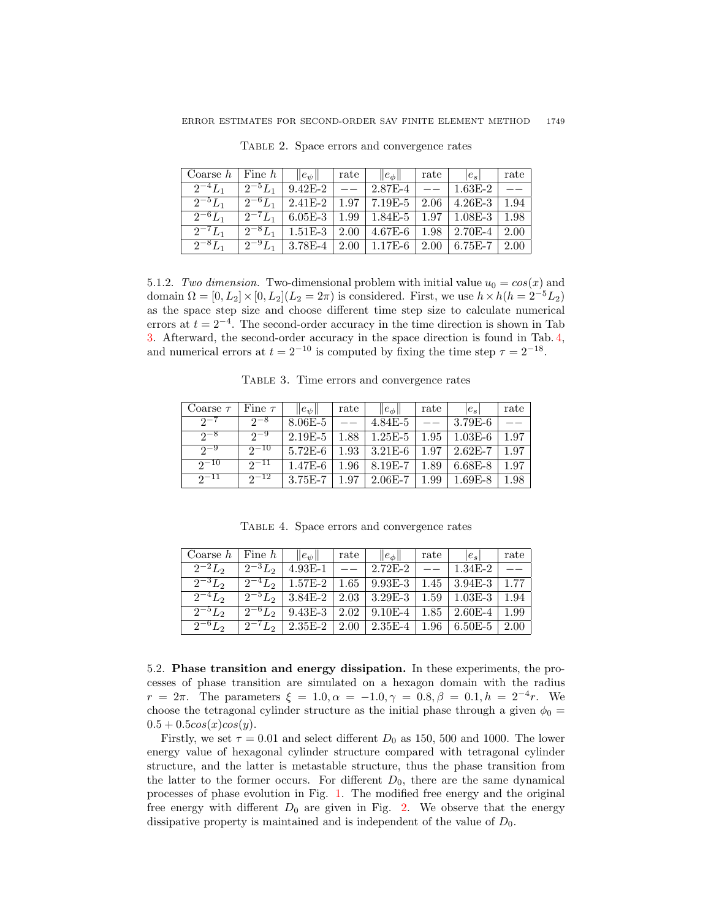<span id="page-14-0"></span>

| Coarse $h$   Fine $h$   $  e_{\psi}  $   rate   $  e_{\phi}  $   rate   $ e_s $   rate |                                                                                     |  |  |  |
|----------------------------------------------------------------------------------------|-------------------------------------------------------------------------------------|--|--|--|
|                                                                                        | $\boxed{2^{-4}L_1$   $2^{-5}L_1$   9.42E-2   --   2.87E-4   --   1.63E-2   --       |  |  |  |
|                                                                                        | $\boxed{2^{-5}L_1$   $2^{-6}L_1$   2.41E-2   1.97   7.19E-5   2.06   4.26E-3   1.94 |  |  |  |
|                                                                                        | $\boxed{2^{-6}L_1$ $\boxed{2^{-7}L_1}$ 6.05E-3 1.99 1.84E-5 1.97 1.08E-3 1.98       |  |  |  |
|                                                                                        | $\frac{1}{2^{-7}L_1}$ $\frac{1}{2^{-8}L_1}$ 1.51E-3 2.00 4.67E-6 1.98 2.70E-4 2.00  |  |  |  |
|                                                                                        | $\frac{1}{2^{-8}L_1}$ $\frac{1}{2^{-9}L_1}$ 3.78E-4 2.00 1.17E-6 2.00 6.75E-7 2.00  |  |  |  |

Table 2. Space errors and convergence rates

5.1.2. Two dimension. Two-dimensional problem with initial value  $u_0 = cos(x)$  and domain  $\Omega = [0, L_2] \times [0, L_2](L_2 = 2\pi)$  is considered. First, we use  $h \times h(h = 2^{-5}L_2)$ as the space step size and choose different time step size to calculate numerical errors at  $t = 2^{-4}$ . The second-order accuracy in the time direction is shown in Tab [3.](#page-14-1) Afterward, the second-order accuracy in the space direction is found in Tab. [4,](#page-14-2) and numerical errors at  $t = 2^{-10}$  is computed by fixing the time step  $\tau = 2^{-18}$ .

Table 3. Time errors and convergence rates

<span id="page-14-1"></span>

| Coarse $\tau$ Fine $\tau$ |              | $  e_{\psi}  $ | rate | $\ e_\phi\ $             | rate | $ e_s $                         | rate |
|---------------------------|--------------|----------------|------|--------------------------|------|---------------------------------|------|
| $2^{\sim}$                | $2^{-8}$     | $8.06E - 5$    |      | $4.84E - 5$              |      | $\pm 3.79E-6$                   |      |
| $2^{-8}$                  | $2^{-9}$     | $2.19E - 5$    |      | $1.88$   $1.25E-5$       |      | $1.95 \pm 1.03E - 6$            | 1.97 |
| $2^{\sim}$                | $2^{-10}$    | $5.72E-6$      |      | $1.93 \mid 3.21E-6 \mid$ |      | $1.97 \mid 2.62E - 7 \mid 1.97$ |      |
| $2^{\sim}10$              | $2^{-11}$    | $1.47E-6$      |      | $1.96 \pm 8.19E - 7$     | 1.89 | $6.68E-8$                       | 1.97 |
| $2^{\sim}11$              | $2^{\sim}12$ | $3.75E - 7$    | 1.97 | $2.06E - 7$              | 1.99 | $1.69E-8$                       | 1.98 |

Table 4. Space errors and convergence rates

<span id="page-14-2"></span>

| $ \text{Coarse } h   \text{ Fine } h     e_{\psi}  $   rate   $  e_{\phi}  $   rate |  |  | $ e_s $ rate                                                                                                                              |  |
|-------------------------------------------------------------------------------------|--|--|-------------------------------------------------------------------------------------------------------------------------------------------|--|
|                                                                                     |  |  | $\boxed{2^{-2}L_2$   $2^{-3}L_2$   4.93E-1   --   2.72E-2   --   1.34E-2   --                                                             |  |
|                                                                                     |  |  | $2^{-3}L_2$   $2^{-4}L_2$   1.57E-2   1.65   9.93E-3   1.45   3.94E-3   1.77                                                              |  |
|                                                                                     |  |  | $\boxed{2^{-4}L_2$ $\boxed{2^{-5}L_2}$ $\boxed{3.84E-2}$ $\boxed{2.03}$ $\boxed{3.29E-3}$ $\boxed{1.59}$ $\boxed{1.03E-3}$ $\boxed{1.94}$ |  |
|                                                                                     |  |  | $\boxed{2^{-5}L_2$ $\boxed{2^{-6}L_2}$ $\boxed{9.43E-3}$ $\boxed{2.02}$ $\boxed{9.10E-4}$ $\boxed{1.85}$ $\boxed{2.60E-4}$ $\boxed{1.99}$ |  |
|                                                                                     |  |  | $\boxed{2^{-6}L_2$   $2^{-7}L_2$   2.35E-2   2.00   2.35E-4   1.96   6.50E-5   2.00                                                       |  |

5.2. Phase transition and energy dissipation. In these experiments, the processes of phase transition are simulated on a hexagon domain with the radius  $r = 2\pi$ . The parameters  $\xi = 1.0, \alpha = -1.0, \gamma = 0.8, \beta = 0.1, h = 2^{-4}r$ . We choose the tetragonal cylinder structure as the initial phase through a given  $\phi_0 =$  $0.5 + 0.5\cos(x)\cos(y)$ .

Firstly, we set  $\tau = 0.01$  and select different  $D_0$  as 150, 500 and 1000. The lower energy value of hexagonal cylinder structure compared with tetragonal cylinder structure, and the latter is metastable structure, thus the phase transition from the latter to the former occurs. For different  $D_0$ , there are the same dynamical processes of phase evolution in Fig. [1.](#page-15-1) The modified free energy and the original free energy with different  $D_0$  are given in Fig. [2.](#page-15-2) We observe that the energy dissipative property is maintained and is independent of the value of  $D_0$ .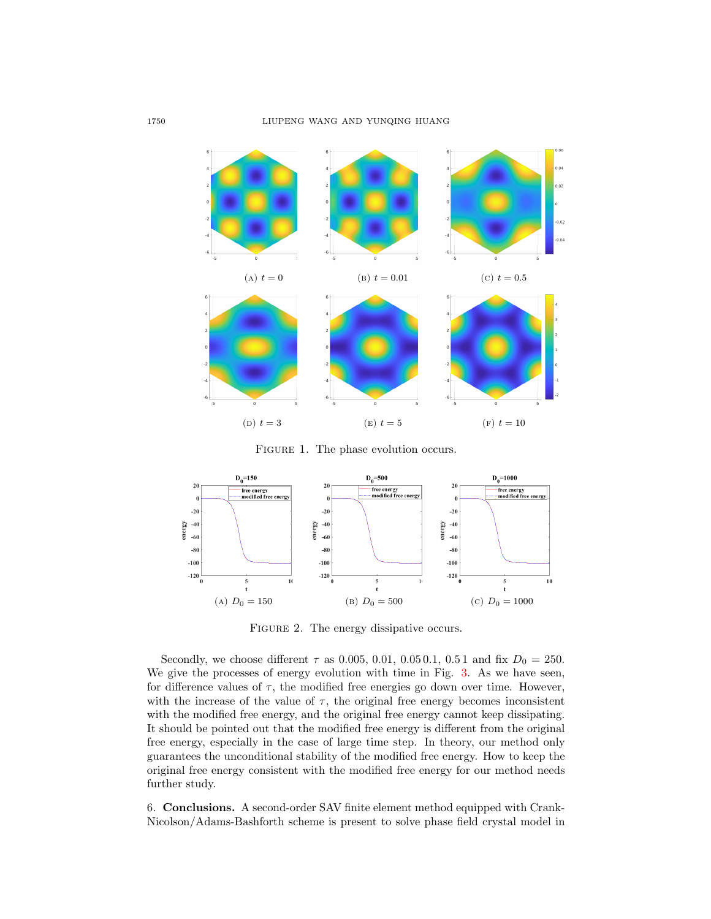<span id="page-15-1"></span>

FIGURE 1. The phase evolution occurs.

<span id="page-15-2"></span>

FIGURE 2. The energy dissipative occurs.

Secondly, we choose different  $\tau$  as 0.005, 0.01, 0.05 0.1, 0.5 1 and fix  $D_0 = 250$ . We give the processes of energy evolution with time in Fig. [3.](#page-16-6) As we have seen, for difference values of  $\tau$ , the modified free energies go down over time. However, with the increase of the value of  $\tau$ , the original free energy becomes inconsistent with the modified free energy, and the original free energy cannot keep dissipating. It should be pointed out that the modified free energy is different from the original free energy, especially in the case of large time step. In theory, our method only guarantees the unconditional stability of the modified free energy. How to keep the original free energy consistent with the modified free energy for our method needs further study.

<span id="page-15-0"></span>6. Conclusions. A second-order SAV finite element method equipped with Crank-Nicolson/Adams-Bashforth scheme is present to solve phase field crystal model in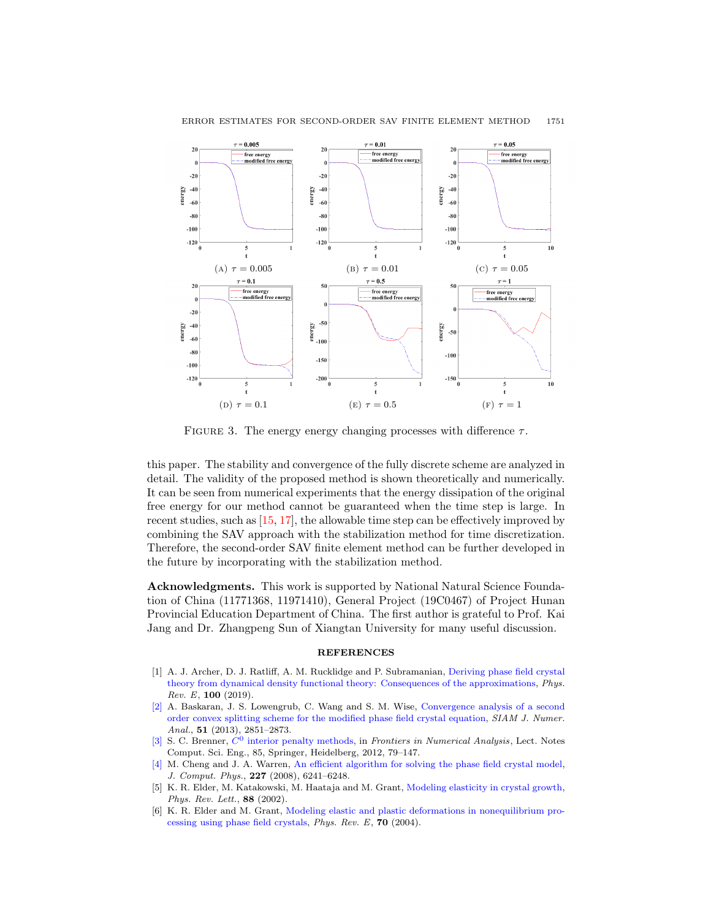<span id="page-16-6"></span>

### ERROR ESTIMATES FOR SECOND-ORDER SAV FINITE ELEMENT METHOD 1751

FIGURE 3. The energy energy changing processes with difference  $\tau$ .

this paper. The stability and convergence of the fully discrete scheme are analyzed in detail. The validity of the proposed method is shown theoretically and numerically. It can be seen from numerical experiments that the energy dissipation of the original free energy for our method cannot be guaranteed when the time step is large. In recent studies, such as [\[15,](#page-17-15) [17\]](#page-17-21), the allowable time step can be effectively improved by combining the SAV approach with the stabilization method for time discretization. Therefore, the second-order SAV finite element method can be further developed in the future by incorporating with the stabilization method.

Acknowledgments. This work is supported by National Natural Science Foundation of China (11771368, 11971410), General Project (19C0467) of Project Hunan Provincial Education Department of China. The first author is grateful to Prof. Kai Jang and Dr. Zhangpeng Sun of Xiangtan University for many useful discussion.

#### **REFERENCES**

- <span id="page-16-2"></span>[1] A. J. Archer, D. J. Ratliff, A. M. Rucklidge and P. Subramanian, [Deriving phase field crystal](http://dx.doi.org/10.1103/PhysRevE.100.022140) [theory from dynamical density functional theory: Consequences of the approximations,](http://dx.doi.org/10.1103/PhysRevE.100.022140) Phys.  $Rev. E, 100 (2019).$
- <span id="page-16-4"></span>[\[2\]](http://www.ams.org/mathscinet-getitem?mr=MR3118257&return=pdf) A. Baskaran, J. S. Lowengrub, C. Wang and S. M. Wise, [Convergence analysis of a second](http://dx.doi.org/10.1137/120880677) [order convex splitting scheme for the modified phase field crystal equation,](http://dx.doi.org/10.1137/120880677) SIAM J. Numer. Anal., **51** (2013), 2851-2873.
- <span id="page-16-5"></span>[\[3\]](http://www.ams.org/mathscinet-getitem?mr=MR3051409&return=pdf) S. C. Brenner,  $C^0$  [interior penalty methods,](http://dx.doi.org/10.1007/978-3-642-23914-4_2) in Frontiers in Numerical Analysis, Lect. Notes Comput. Sci. Eng., 85, Springer, Heidelberg, 2012, 79–147.
- <span id="page-16-3"></span>[\[4\]](http://www.ams.org/mathscinet-getitem?mr=MR2418360&return=pdf) M. Cheng and J. A. Warren, [An efficient algorithm for solving the phase field crystal model,](http://dx.doi.org/10.1016/j.jcp.2008.03.012) J. Comput. Phys., 227 (2008), 6241–6248.
- <span id="page-16-0"></span>[5] K. R. Elder, M. Katakowski, M. Haataja and M. Grant, [Modeling elasticity in crystal growth,](http://dx.doi.org/10.1103/PhysRevLett.88.245701) Phys. Rev. Lett., 88 (2002).
- <span id="page-16-1"></span>[6] K. R. Elder and M. Grant, [Modeling elastic and plastic deformations in nonequilibrium pro](http://dx.doi.org/10.1103/PhysRevE.70.051605)[cessing using phase field crystals,](http://dx.doi.org/10.1103/PhysRevE.70.051605) Phys. Rev. E, 70 (2004).